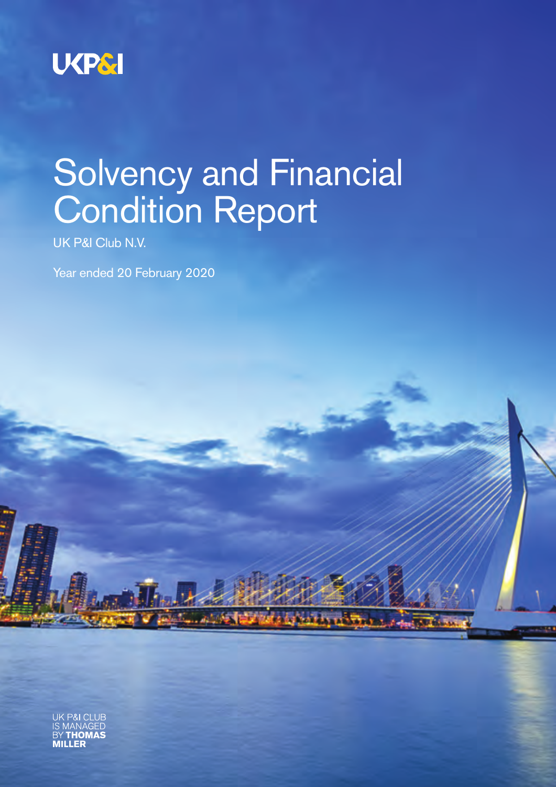

# Solvency and Financial Condition Report

UK P&I Club N.V.

Year ended 20 February 2020

CLUF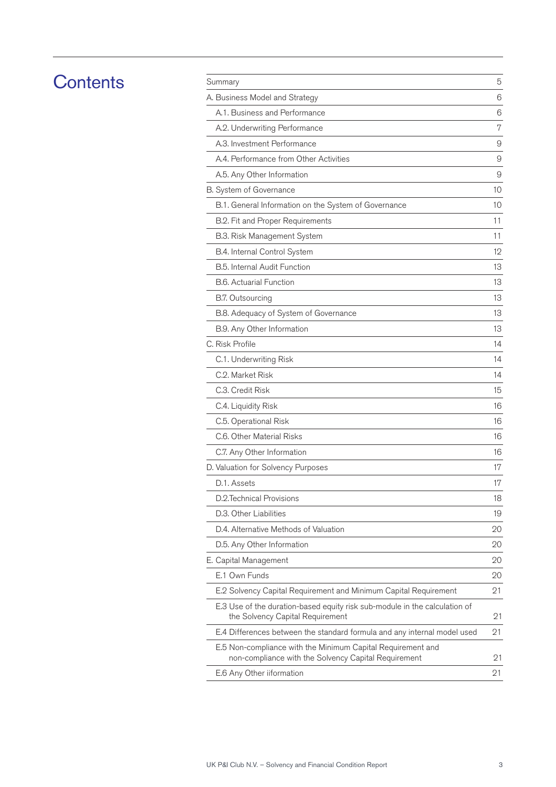## **Contents**

| Summary                                                                                                             | 5  |
|---------------------------------------------------------------------------------------------------------------------|----|
| A. Business Model and Strategy                                                                                      | 6  |
| A.1. Business and Performance                                                                                       | 6  |
| A.2. Underwriting Performance                                                                                       | 7  |
| A.3. Investment Performance                                                                                         | 9  |
| A.4. Performance from Other Activities                                                                              | 9  |
| A.5. Any Other Information                                                                                          | 9  |
| B. System of Governance                                                                                             | 10 |
| B.1. General Information on the System of Governance                                                                | 10 |
| B.2. Fit and Proper Requirements                                                                                    | 11 |
| B.3. Risk Management System                                                                                         | 11 |
| B.4. Internal Control System                                                                                        | 12 |
| B.5. Internal Audit Function                                                                                        | 13 |
| <b>B.6. Actuarial Function</b>                                                                                      | 13 |
| <b>B.7. Outsourcing</b>                                                                                             | 13 |
| B.8. Adequacy of System of Governance                                                                               | 13 |
| B.9. Any Other Information                                                                                          | 13 |
| C. Risk Profile                                                                                                     | 14 |
| C.1. Underwriting Risk                                                                                              | 14 |
| C.2. Market Risk                                                                                                    | 14 |
| C.3. Credit Risk                                                                                                    | 15 |
| C.4. Liquidity Risk                                                                                                 | 16 |
| C.5. Operational Risk                                                                                               | 16 |
| C.6. Other Material Risks                                                                                           | 16 |
| C.7. Any Other Information                                                                                          | 16 |
| D. Valuation for Solvency Purposes                                                                                  | 17 |
| D.1. Assets                                                                                                         | 17 |
| D.2. Technical Provisions                                                                                           | 18 |
| D.3. Other Liabilities                                                                                              | 19 |
| D.4. Alternative Methods of Valuation                                                                               | 20 |
| D.5. Any Other Information                                                                                          | 20 |
| E. Capital Management                                                                                               | 20 |
| E.1 Own Funds                                                                                                       | 20 |
| E.2 Solvency Capital Requirement and Minimum Capital Requirement                                                    | 21 |
| E.3 Use of the duration-based equity risk sub-module in the calculation of<br>the Solvency Capital Requirement      | 21 |
| E.4 Differences between the standard formula and any internal model used                                            | 21 |
| E.5 Non-compliance with the Minimum Capital Requirement and<br>non-compliance with the Solvency Capital Requirement | 21 |
| E.6 Any Other iiformation                                                                                           | 21 |
|                                                                                                                     |    |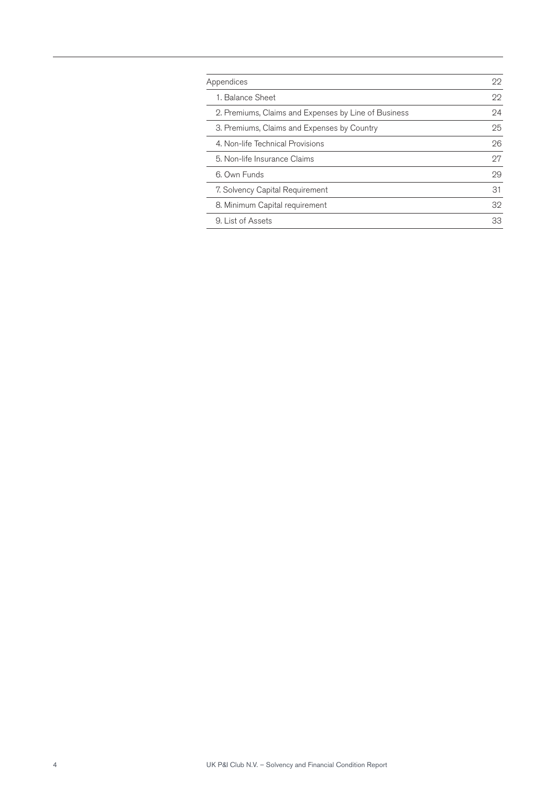| Appendices                                           | 22 |
|------------------------------------------------------|----|
| 1. Balance Sheet                                     | 22 |
| 2. Premiums, Claims and Expenses by Line of Business | 24 |
| 3. Premiums, Claims and Expenses by Country          | 25 |
| 4. Non-life Technical Provisions                     | 26 |
| 5. Non-life Insurance Claims                         | 97 |
| 6. Own Funds                                         | 29 |
| 7. Solvency Capital Requirement                      | 31 |
| 8. Minimum Capital requirement                       | 32 |
| 9. List of Assets                                    | 33 |
|                                                      |    |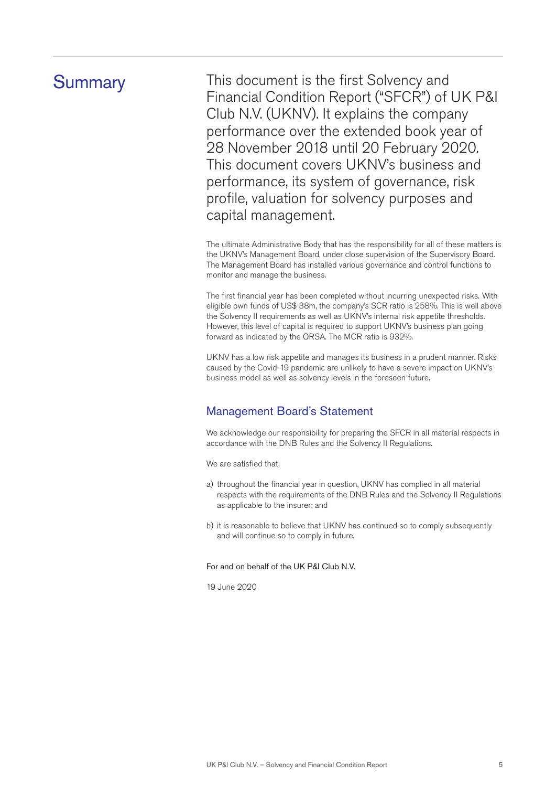Summary This document is the first Solvency and Financial Condition Report ("SFCR") of UK P&I Club N.V. (UKNV). It explains the company performance over the extended book year of 28 November 2018 until 20 February 2020. This document covers UKNV's business and performance, its system of governance, risk profile, valuation for solvency purposes and capital management.

> The ultimate Administrative Body that has the responsibility for all of these matters is the UKNV's Management Board, under close supervision of the Supervisory Board. The Management Board has installed various governance and control functions to monitor and manage the business.

> The first financial year has been completed without incurring unexpected risks. With eligible own funds of US\$ 38m, the company's SCR ratio is 258%. This is well above the Solvency II requirements as well as UKNV's internal risk appetite thresholds. However, this level of capital is required to support UKNV's business plan going forward as indicated by the ORSA. The MCR ratio is 932%.

UKNV has a low risk appetite and manages its business in a prudent manner. Risks caused by the Covid-19 pandemic are unlikely to have a severe impact on UKNV's business model as well as solvency levels in the foreseen future.

## Management Board's Statement

We acknowledge our responsibility for preparing the SFCR in all material respects in accordance with the DNB Rules and the Solvency II Regulations.

We are satisfied that:

- a) throughout the financial year in question, UKNV has complied in all material respects with the requirements of the DNB Rules and the Solvency II Regulations as applicable to the insurer; and
- b) it is reasonable to believe that UKNV has continued so to comply subsequently and will continue so to comply in future.

#### For and on behalf of the UK P&I Club N.V.

19 June 2020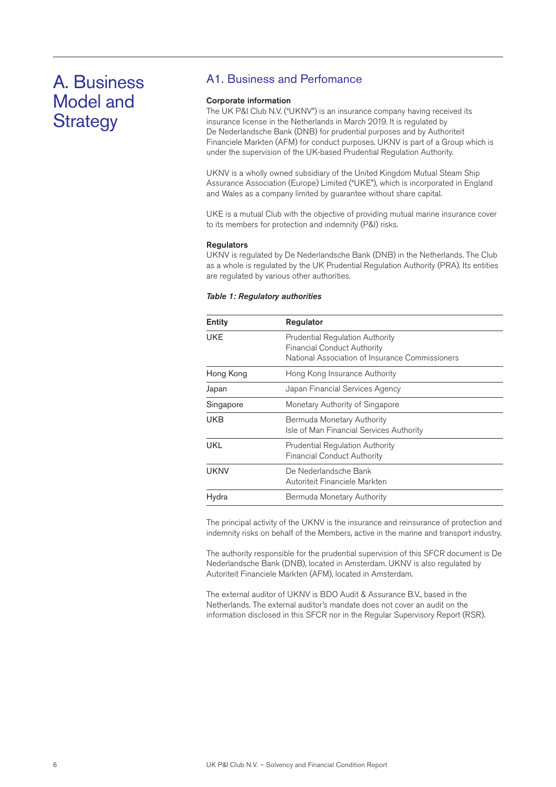## A. Business Model and **Strategy**

## A1. Business and Perfomance

#### Corporate information

The UK P&I Club N.V. ("UKNV") is an insurance company having received its insurance license in the Netherlands in March 2019. It is regulated by De Nederlandsche Bank (DNB) for prudential purposes and by Authoriteit Financiele Markten (AFM) for conduct purposes. UKNV is part of a Group which is under the supervision of the UK-based Prudential Regulation Authority.

UKNV is a wholly owned subsidiary of the United Kingdom Mutual Steam Ship Assurance Association (Europe) Limited ("UKE"), which is incorporated in England and Wales as a company limited by guarantee without share capital.

UKE is a mutual Club with the objective of providing mutual marine insurance cover to its members for protection and indemnity (P&I) risks.

#### **Regulators**

UKNV is regulated by De Nederlandsche Bank (DNB) in the Netherlands. The Club as a whole is regulated by the UK Prudential Regulation Authority (PRA). Its entities are regulated by various other authorities.

| Entity    | Regulator                                                                                                                       |
|-----------|---------------------------------------------------------------------------------------------------------------------------------|
| UKE       | <b>Prudential Regulation Authority</b><br><b>Financial Conduct Authority</b><br>National Association of Insurance Commissioners |
| Hong Kong | Hong Kong Insurance Authority                                                                                                   |
| Japan     | Japan Financial Services Agency                                                                                                 |
| Singapore | Monetary Authority of Singapore                                                                                                 |
| UKB       | Bermuda Monetary Authority<br>Isle of Man Financial Services Authority                                                          |
| UKL       | <b>Prudential Regulation Authority</b><br><b>Financial Conduct Authority</b>                                                    |
| UKNV      | De Nederlandsche Bank<br>Autoriteit Financiele Markten                                                                          |
| Hydra     | Bermuda Monetary Authority                                                                                                      |

The principal activity of the UKNV is the insurance and reinsurance of protection and indemnity risks on behalf of the Members, active in the marine and transport industry.

The authority responsible for the prudential supervision of this SFCR document is De Nederlandsche Bank (DNB), located in Amsterdam. UKNV is also regulated by Autoriteit Financiele Markten (AFM), located in Amsterdam.

The external auditor of UKNV is BDO Audit & Assurance B.V., based in the Netherlands. The external auditor's mandate does not cover an audit on the information disclosed in this SFCR nor in the Regular Supervisory Report (RSR).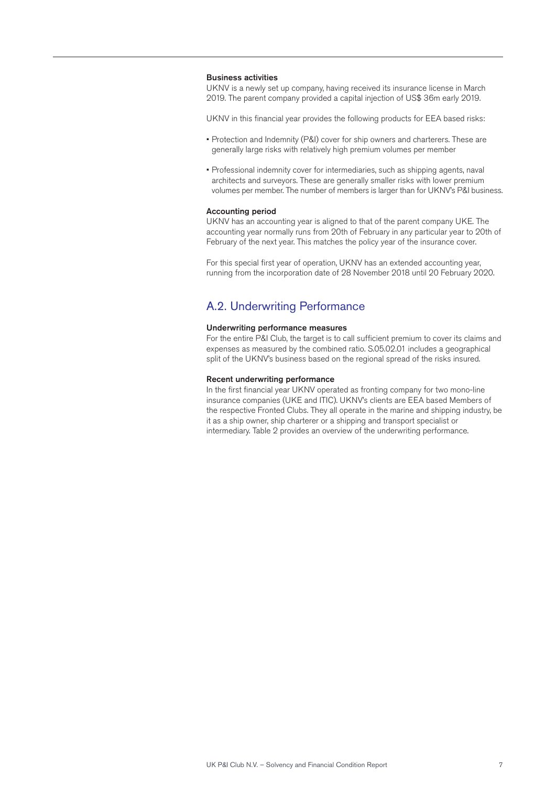#### Business activities

UKNV is a newly set up company, having received its insurance license in March 2019. The parent company provided a capital injection of US\$ 36m early 2019.

UKNV in this financial year provides the following products for EEA based risks:

- Protection and Indemnity (P&I) cover for ship owners and charterers. These are generally large risks with relatively high premium volumes per member
- Professional indemnity cover for intermediaries, such as shipping agents, naval architects and surveyors. These are generally smaller risks with lower premium volumes per member. The number of members is larger than for UKNV's P&I business.

#### Accounting period

UKNV has an accounting year is aligned to that of the parent company UKE. The accounting year normally runs from 20th of February in any particular year to 20th of February of the next year. This matches the policy year of the insurance cover.

For this special first year of operation, UKNV has an extended accounting year, running from the incorporation date of 28 November 2018 until 20 February 2020.

### A.2. Underwriting Performance

#### Underwriting performance measures

For the entire P&I Club, the target is to call sufficient premium to cover its claims and expenses as measured by the combined ratio. S.05.02.01 includes a geographical split of the UKNV's business based on the regional spread of the risks insured.

#### Recent underwriting performance

In the first financial year UKNV operated as fronting company for two mono-line insurance companies (UKE and ITIC). UKNV's clients are EEA based Members of the respective Fronted Clubs. They all operate in the marine and shipping industry, be it as a ship owner, ship charterer or a shipping and transport specialist or intermediary. Table 2 provides an overview of the underwriting performance.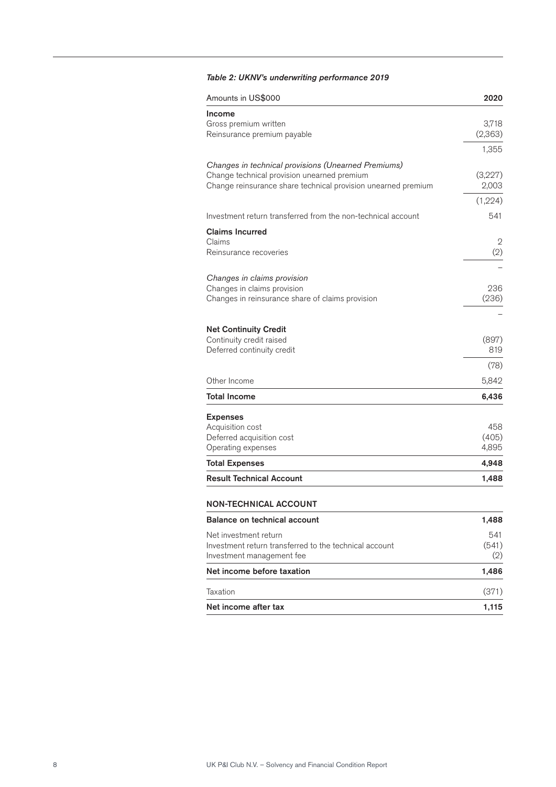### *Table 2: UKNV's underwriting performance 2019*

| Amounts in US\$000                                            | 2020    |
|---------------------------------------------------------------|---------|
| Income                                                        |         |
| Gross premium written                                         | 3,718   |
| Reinsurance premium payable                                   | (2,363) |
|                                                               | 1,355   |
| Changes in technical provisions (Unearned Premiums)           |         |
| Change technical provision unearned premium                   | (3,227) |
| Change reinsurance share technical provision unearned premium | 2,003   |
|                                                               | (1,224) |
| Investment return transferred from the non-technical account  | 541     |
| <b>Claims Incurred</b>                                        |         |
| Claims                                                        | 2       |
| Reinsurance recoveries                                        | (2)     |
|                                                               |         |
| Changes in claims provision                                   |         |
| Changes in claims provision                                   | 236     |
| Changes in reinsurance share of claims provision              | (236)   |
|                                                               |         |
| <b>Net Continuity Credit</b>                                  |         |
| Continuity credit raised                                      | (897)   |
| Deferred continuity credit                                    | 819     |
|                                                               | (78)    |
| Other Income                                                  | 5,842   |
| <b>Total Income</b>                                           | 6,436   |
| <b>Expenses</b>                                               |         |
| Acquisition cost                                              | 458     |
| Deferred acquisition cost                                     | (405)   |
| Operating expenses                                            | 4,895   |
| <b>Total Expenses</b>                                         | 4,948   |
| <b>Result Technical Account</b>                               | 1,488   |
|                                                               |         |
| <b>NON-TECHNICAL ACCOUNT</b>                                  |         |
| <b>Balance on technical account</b>                           | 1,488   |
| Net investment return                                         | 541     |
| Investment return transferred to the technical account        | (541)   |
| Investment management fee                                     | (2)     |
| Net income before taxation                                    | 1,486   |
| Taxation                                                      | (371)   |
| Net income after tax                                          | 1,115   |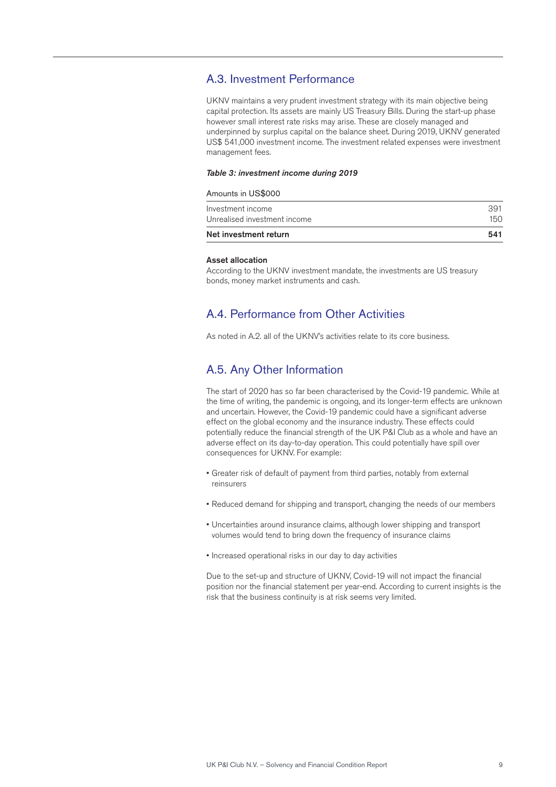### A.3. Investment Performance

UKNV maintains a very prudent investment strategy with its main objective being capital protection. Its assets are mainly US Treasury Bills. During the start-up phase however small interest rate risks may arise. These are closely managed and underpinned by surplus capital on the balance sheet. During 2019, UKNV generated US\$ 541,000 investment income. The investment related expenses were investment management fees.

#### *Table 3: investment income during 2019*

#### Amounts in US\$000

| Net investment return        | 541 |
|------------------------------|-----|
| Unrealised investment income | 150 |
| Investment income            | 391 |

#### Asset allocation

According to the UKNV investment mandate, the investments are US treasury bonds, money market instruments and cash.

## A.4. Performance from Other Activities

As noted in A.2. all of the UKNV's activities relate to its core business.

### A.5. Any Other Information

The start of 2020 has so far been characterised by the Covid-19 pandemic. While at the time of writing, the pandemic is ongoing, and its longer-term effects are unknown and uncertain. However, the Covid-19 pandemic could have a significant adverse effect on the global economy and the insurance industry. These effects could potentially reduce the financial strength of the UK P&I Club as a whole and have an adverse effect on its day-to-day operation. This could potentially have spill over consequences for UKNV. For example:

- Greater risk of default of payment from third parties, notably from external reinsurers
- Reduced demand for shipping and transport, changing the needs of our members
- Uncertainties around insurance claims, although lower shipping and transport volumes would tend to bring down the frequency of insurance claims
- Increased operational risks in our day to day activities

Due to the set-up and structure of UKNV, Covid-19 will not impact the financial position nor the financial statement per year-end. According to current insights is the risk that the business continuity is at risk seems very limited.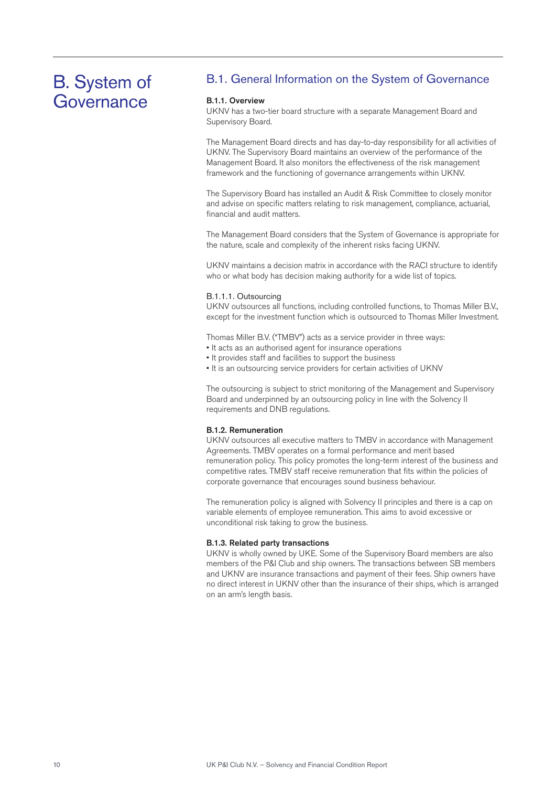## B. System of **Governance**

## B.1. General Information on the System of Governance

#### B.1.1. Overview

UKNV has a two-tier board structure with a separate Management Board and Supervisory Board.

The Management Board directs and has day-to-day responsibility for all activities of UKNV. The Supervisory Board maintains an overview of the performance of the Management Board. It also monitors the effectiveness of the risk management framework and the functioning of governance arrangements within UKNV.

The Supervisory Board has installed an Audit & Risk Committee to closely monitor and advise on specific matters relating to risk management, compliance, actuarial, financial and audit matters.

The Management Board considers that the System of Governance is appropriate for the nature, scale and complexity of the inherent risks facing UKNV.

UKNV maintains a decision matrix in accordance with the RACI structure to identify who or what body has decision making authority for a wide list of topics.

#### B.1.1.1. Outsourcing

UKNV outsources all functions, including controlled functions, to Thomas Miller B.V., except for the investment function which is outsourced to Thomas Miller Investment.

Thomas Miller B.V. ("TMBV") acts as a service provider in three ways:

- It acts as an authorised agent for insurance operations
- It provides staff and facilities to support the business
- It is an outsourcing service providers for certain activities of UKNV

The outsourcing is subject to strict monitoring of the Management and Supervisory Board and underpinned by an outsourcing policy in line with the Solvency II requirements and DNB regulations.

#### B.1.2. Remuneration

UKNV outsources all executive matters to TMBV in accordance with Management Agreements. TMBV operates on a formal performance and merit based remuneration policy. This policy promotes the long-term interest of the business and competitive rates. TMBV staff receive remuneration that fits within the policies of corporate governance that encourages sound business behaviour.

The remuneration policy is aligned with Solvency II principles and there is a cap on variable elements of employee remuneration. This aims to avoid excessive or unconditional risk taking to grow the business.

#### B.1.3. Related party transactions

UKNV is wholly owned by UKE. Some of the Supervisory Board members are also members of the P&I Club and ship owners. The transactions between SB members and UKNV are insurance transactions and payment of their fees. Ship owners have no direct interest in UKNV other than the insurance of their ships, which is arranged on an arm's length basis.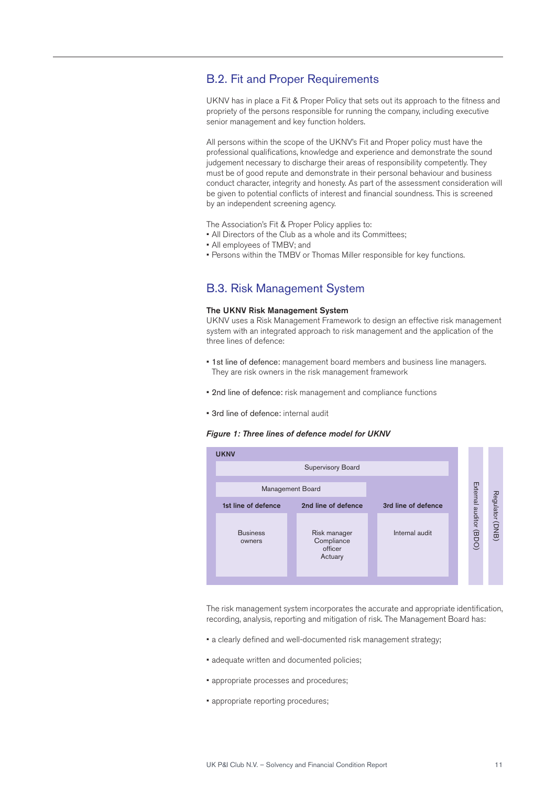## B.2. Fit and Proper Requirements

UKNV has in place a Fit & Proper Policy that sets out its approach to the fitness and propriety of the persons responsible for running the company, including executive senior management and key function holders.

All persons within the scope of the UKNV's Fit and Proper policy must have the professional qualifications, knowledge and experience and demonstrate the sound judgement necessary to discharge their areas of responsibility competently. They must be of good repute and demonstrate in their personal behaviour and business conduct character, integrity and honesty. As part of the assessment consideration will be given to potential conflicts of interest and financial soundness. This is screened by an independent screening agency.

The Association's Fit & Proper Policy applies to:

- All Directors of the Club as a whole and its Committees;
- All employees of TMBV; and
- Persons within the TMBV or Thomas Miller responsible for key functions.

## B.3. Risk Management System

#### The UKNV Risk Management System

UKNV uses a Risk Management Framework to design an effective risk management system with an integrated approach to risk management and the application of the three lines of defence:

- 1st line of defence: management board members and business line managers. They are risk owners in the risk management framework
- 2nd line of defence: risk management and compliance functions
- 3rd line of defence: internal audit

#### *Figure 1: Three lines of defence model for UKNV*



The risk management system incorporates the accurate and appropriate identification, recording, analysis, reporting and mitigation of risk. The Management Board has:

- a clearly defined and well-documented risk management strategy;
- adequate written and documented policies;
- appropriate processes and procedures;
- appropriate reporting procedures;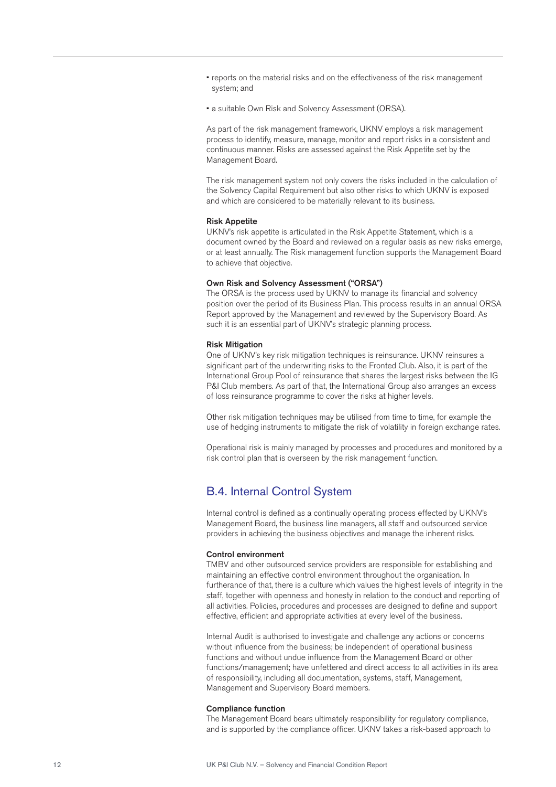- reports on the material risks and on the effectiveness of the risk management system; and
- a suitable Own Risk and Solvency Assessment (ORSA).

As part of the risk management framework, UKNV employs a risk management process to identify, measure, manage, monitor and report risks in a consistent and continuous manner. Risks are assessed against the Risk Appetite set by the Management Board.

The risk management system not only covers the risks included in the calculation of the Solvency Capital Requirement but also other risks to which UKNV is exposed and which are considered to be materially relevant to its business.

#### Risk Appetite

UKNV's risk appetite is articulated in the Risk Appetite Statement, which is a document owned by the Board and reviewed on a regular basis as new risks emerge, or at least annually. The Risk management function supports the Management Board to achieve that objective.

#### Own Risk and Solvency Assessment ("ORSA")

The ORSA is the process used by UKNV to manage its financial and solvency position over the period of its Business Plan. This process results in an annual ORSA Report approved by the Management and reviewed by the Supervisory Board. As such it is an essential part of UKNV's strategic planning process.

#### Risk Mitigation

One of UKNV's key risk mitigation techniques is reinsurance. UKNV reinsures a significant part of the underwriting risks to the Fronted Club. Also, it is part of the International Group Pool of reinsurance that shares the largest risks between the IG P&I Club members. As part of that, the International Group also arranges an excess of loss reinsurance programme to cover the risks at higher levels.

Other risk mitigation techniques may be utilised from time to time, for example the use of hedging instruments to mitigate the risk of volatility in foreign exchange rates.

Operational risk is mainly managed by processes and procedures and monitored by a risk control plan that is overseen by the risk management function.

### B.4. Internal Control System

Internal control is defined as a continually operating process effected by UKNV's Management Board, the business line managers, all staff and outsourced service providers in achieving the business objectives and manage the inherent risks.

#### Control environment

TMBV and other outsourced service providers are responsible for establishing and maintaining an effective control environment throughout the organisation. In furtherance of that, there is a culture which values the highest levels of integrity in the staff, together with openness and honesty in relation to the conduct and reporting of all activities. Policies, procedures and processes are designed to define and support effective, efficient and appropriate activities at every level of the business.

Internal Audit is authorised to investigate and challenge any actions or concerns without influence from the business; be independent of operational business functions and without undue influence from the Management Board or other functions/management; have unfettered and direct access to all activities in its area of responsibility, including all documentation, systems, staff, Management, Management and Supervisory Board members.

#### Compliance function

The Management Board bears ultimately responsibility for regulatory compliance, and is supported by the compliance officer. UKNV takes a risk-based approach to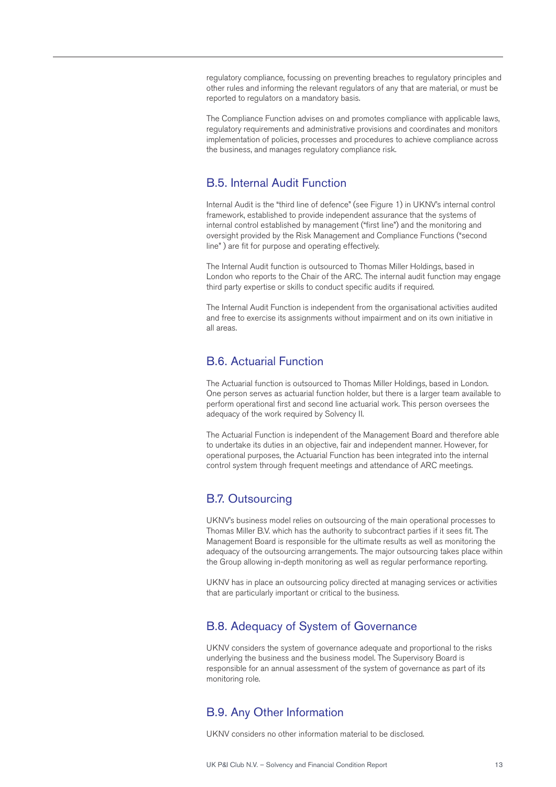regulatory compliance, focussing on preventing breaches to regulatory principles and other rules and informing the relevant regulators of any that are material, or must be reported to regulators on a mandatory basis.

The Compliance Function advises on and promotes compliance with applicable laws, regulatory requirements and administrative provisions and coordinates and monitors implementation of policies, processes and procedures to achieve compliance across the business, and manages regulatory compliance risk.

## B.5. Internal Audit Function

Internal Audit is the "third line of defence" (see Figure 1) in UKNV's internal control framework, established to provide independent assurance that the systems of internal control established by management ("first line") and the monitoring and oversight provided by the Risk Management and Compliance Functions ("second line" ) are fit for purpose and operating effectively.

The Internal Audit function is outsourced to Thomas Miller Holdings, based in London who reports to the Chair of the ARC. The internal audit function may engage third party expertise or skills to conduct specific audits if required.

The Internal Audit Function is independent from the organisational activities audited and free to exercise its assignments without impairment and on its own initiative in all areas.

### B.6. Actuarial Function

The Actuarial function is outsourced to Thomas Miller Holdings, based in London. One person serves as actuarial function holder, but there is a larger team available to perform operational first and second line actuarial work. This person oversees the adequacy of the work required by Solvency II.

The Actuarial Function is independent of the Management Board and therefore able to undertake its duties in an objective, fair and independent manner. However, for operational purposes, the Actuarial Function has been integrated into the internal control system through frequent meetings and attendance of ARC meetings.

## B.7. Outsourcing

UKNV's business model relies on outsourcing of the main operational processes to Thomas Miller B.V. which has the authority to subcontract parties if it sees fit. The Management Board is responsible for the ultimate results as well as monitoring the adequacy of the outsourcing arrangements. The major outsourcing takes place within the Group allowing in-depth monitoring as well as regular performance reporting.

UKNV has in place an outsourcing policy directed at managing services or activities that are particularly important or critical to the business.

## B.8. Adequacy of System of Governance

UKNV considers the system of governance adequate and proportional to the risks underlying the business and the business model. The Supervisory Board is responsible for an annual assessment of the system of governance as part of its monitoring role.

## B.9. Any Other Information

UKNV considers no other information material to be disclosed.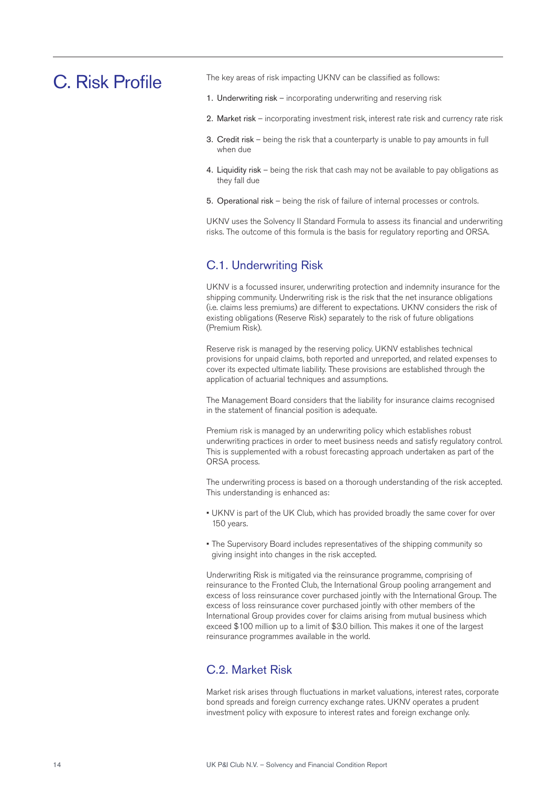## C. Risk Profile

The key areas of risk impacting UKNV can be classified as follows:

- 1. Underwriting risk incorporating underwriting and reserving risk
- 2. Market risk incorporating investment risk, interest rate risk and currency rate risk
- 3. Credit risk being the risk that a counterparty is unable to pay amounts in full when due
- 4. Liquidity risk being the risk that cash may not be available to pay obligations as they fall due
- 5. Operational risk being the risk of failure of internal processes or controls.

UKNV uses the Solvency II Standard Formula to assess its financial and underwriting risks. The outcome of this formula is the basis for regulatory reporting and ORSA.

## C.1. Underwriting Risk

UKNV is a focussed insurer, underwriting protection and indemnity insurance for the shipping community. Underwriting risk is the risk that the net insurance obligations (i.e. claims less premiums) are different to expectations. UKNV considers the risk of existing obligations (Reserve Risk) separately to the risk of future obligations (Premium Risk).

Reserve risk is managed by the reserving policy. UKNV establishes technical provisions for unpaid claims, both reported and unreported, and related expenses to cover its expected ultimate liability. These provisions are established through the application of actuarial techniques and assumptions.

The Management Board considers that the liability for insurance claims recognised in the statement of financial position is adequate.

Premium risk is managed by an underwriting policy which establishes robust underwriting practices in order to meet business needs and satisfy regulatory control. This is supplemented with a robust forecasting approach undertaken as part of the ORSA process.

The underwriting process is based on a thorough understanding of the risk accepted. This understanding is enhanced as:

- UKNV is part of the UK Club, which has provided broadly the same cover for over 150 years.
- The Supervisory Board includes representatives of the shipping community so giving insight into changes in the risk accepted.

Underwriting Risk is mitigated via the reinsurance programme, comprising of reinsurance to the Fronted Club, the International Group pooling arrangement and excess of loss reinsurance cover purchased jointly with the International Group. The excess of loss reinsurance cover purchased jointly with other members of the International Group provides cover for claims arising from mutual business which exceed \$100 million up to a limit of \$3.0 billion. This makes it one of the largest reinsurance programmes available in the world.

## C.2. Market Risk

Market risk arises through fluctuations in market valuations, interest rates, corporate bond spreads and foreign currency exchange rates. UKNV operates a prudent investment policy with exposure to interest rates and foreign exchange only.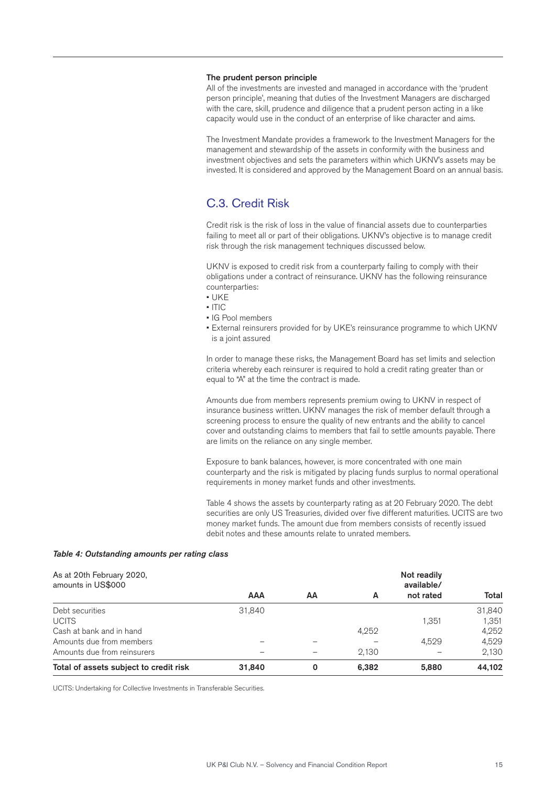#### The prudent person principle

All of the investments are invested and managed in accordance with the 'prudent person principle', meaning that duties of the Investment Managers are discharged with the care, skill, prudence and diligence that a prudent person acting in a like capacity would use in the conduct of an enterprise of like character and aims.

The Investment Mandate provides a framework to the Investment Managers for the management and stewardship of the assets in conformity with the business and investment objectives and sets the parameters within which UKNV's assets may be invested. It is considered and approved by the Management Board on an annual basis.

## C.3. Credit Risk

Credit risk is the risk of loss in the value of financial assets due to counterparties failing to meet all or part of their obligations. UKNV's objective is to manage credit risk through the risk management techniques discussed below.

UKNV is exposed to credit risk from a counterparty failing to comply with their obligations under a contract of reinsurance. UKNV has the following reinsurance counterparties:

- UKE
- ITIC
- IG Pool members
- External reinsurers provided for by UKE's reinsurance programme to which UKNV is a joint assured

In order to manage these risks, the Management Board has set limits and selection criteria whereby each reinsurer is required to hold a credit rating greater than or equal to "A" at the time the contract is made.

Amounts due from members represents premium owing to UKNV in respect of insurance business written. UKNV manages the risk of member default through a screening process to ensure the quality of new entrants and the ability to cancel cover and outstanding claims to members that fail to settle amounts payable. There are limits on the reliance on any single member.

Exposure to bank balances, however, is more concentrated with one main counterparty and the risk is mitigated by placing funds surplus to normal operational requirements in money market funds and other investments.

Table 4 shows the assets by counterparty rating as at 20 February 2020. The debt securities are only US Treasuries, divided over five different maturities. UCITS are two money market funds. The amount due from members consists of recently issued debit notes and these amounts relate to unrated members.

#### *Table 4: Outstanding amounts per rating class*

| As at 20th February 2020,<br>amounts in US\$000 |            |    |       | Not readily<br>available/ |        |
|-------------------------------------------------|------------|----|-------|---------------------------|--------|
|                                                 | <b>AAA</b> | AΑ | A     | not rated                 | Total  |
| Debt securities                                 | 31,840     |    |       |                           | 31,840 |
| <b>UCITS</b>                                    |            |    |       | 1.351                     | 1.351  |
| Cash at bank and in hand                        |            |    | 4,252 |                           | 4,252  |
| Amounts due from members                        |            |    |       | 4.529                     | 4.529  |
| Amounts due from reinsurers                     |            |    | 2.130 |                           | 2,130  |
| Total of assets subject to credit risk          | 31,840     | 0  | 6,382 | 5,880                     | 44.102 |

UCITS: Undertaking for Collective Investments in Transferable Securities.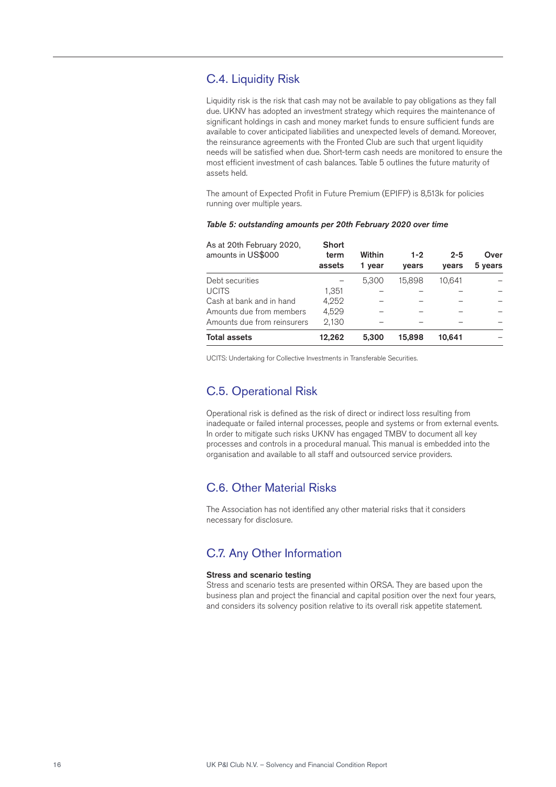## C.4. Liquidity Risk

Liquidity risk is the risk that cash may not be available to pay obligations as they fall due. UKNV has adopted an investment strategy which requires the maintenance of significant holdings in cash and money market funds to ensure sufficient funds are available to cover anticipated liabilities and unexpected levels of demand. Moreover, the reinsurance agreements with the Fronted Club are such that urgent liquidity needs will be satisfied when due. Short-term cash needs are monitored to ensure the most efficient investment of cash balances. Table 5 outlines the future maturity of assets held.

The amount of Expected Profit in Future Premium (EPIFP) is 8,513k for policies running over multiple years.

#### *Table 5: outstanding amounts per 20th February 2020 over time*

| As at 20th February 2020,<br>amounts in US\$000 | <b>Short</b><br>term<br>assets | Within<br>1 vear | $1 - 2$<br>years | $2 - 5$<br>vears | Over<br>5 years |
|-------------------------------------------------|--------------------------------|------------------|------------------|------------------|-----------------|
| Debt securities                                 |                                | 5.300            | 15.898           | 10.641           |                 |
| <b>UCITS</b>                                    | 1.351                          |                  |                  |                  |                 |
| Cash at bank and in hand                        | 4.252                          |                  |                  |                  |                 |
| Amounts due from members                        | 4.529                          |                  |                  |                  |                 |
| Amounts due from reinsurers                     | 2.130                          |                  |                  |                  |                 |
| <b>Total assets</b>                             | 12.262                         | 5.300            | 15.898           | 10.641           |                 |

UCITS: Undertaking for Collective Investments in Transferable Securities.

## C.5. Operational Risk

Operational risk is defined as the risk of direct or indirect loss resulting from inadequate or failed internal processes, people and systems or from external events. In order to mitigate such risks UKNV has engaged TMBV to document all key processes and controls in a procedural manual. This manual is embedded into the organisation and available to all staff and outsourced service providers.

## C.6. Other Material Risks

The Association has not identified any other material risks that it considers necessary for disclosure.

## C.7. Any Other Information

#### Stress and scenario testing

Stress and scenario tests are presented within ORSA. They are based upon the business plan and project the financial and capital position over the next four years, and considers its solvency position relative to its overall risk appetite statement.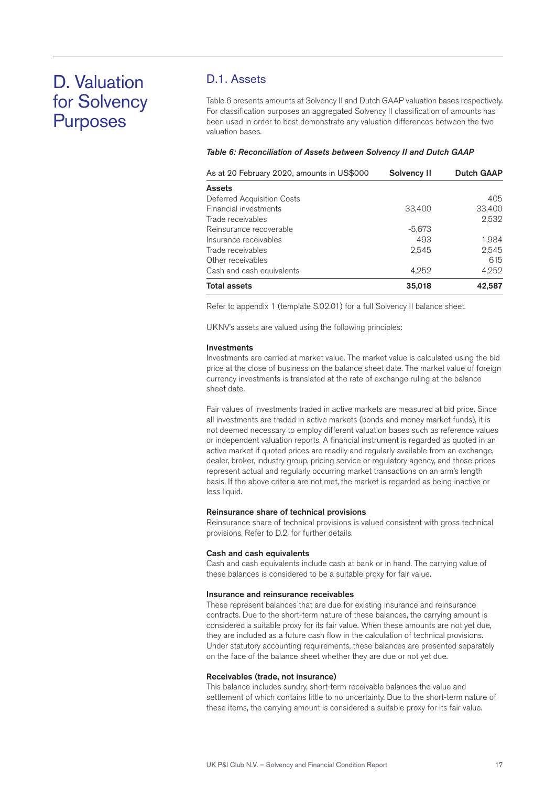## D. Valuation for Solvency Purposes

## D.1. Assets

Table 6 presents amounts at Solvency II and Dutch GAAP valuation bases respectively. For classification purposes an aggregated Solvency II classification of amounts has been used in order to best demonstrate any valuation differences between the two valuation bases.

#### *Table 6: Reconciliation of Assets between Solvency II and Dutch GAAP*

| As at 20 February 2020, amounts in US\$000 | Solvency II | <b>Dutch GAAP</b> |
|--------------------------------------------|-------------|-------------------|
| <b>Assets</b>                              |             |                   |
| Deferred Acquisition Costs                 |             | 405               |
| Financial investments                      | 33,400      | 33,400            |
| Trade receivables                          |             | 2,532             |
| Reinsurance recoverable                    | $-5,673$    |                   |
| Insurance receivables                      | 493         | 1.984             |
| Trade receivables                          | 2,545       | 2,545             |
| Other receivables                          |             | 615               |
| Cash and cash equivalents                  | 4,252       | 4,252             |
| <b>Total assets</b>                        | 35,018      | 42.587            |

Refer to appendix 1 (template S.02.01) for a full Solvency II balance sheet.

UKNV's assets are valued using the following principles:

#### Investments

Investments are carried at market value. The market value is calculated using the bid price at the close of business on the balance sheet date. The market value of foreign currency investments is translated at the rate of exchange ruling at the balance sheet date.

Fair values of investments traded in active markets are measured at bid price. Since all investments are traded in active markets (bonds and money market funds), it is not deemed necessary to employ different valuation bases such as reference values or independent valuation reports. A financial instrument is regarded as quoted in an active market if quoted prices are readily and regularly available from an exchange, dealer, broker, industry group, pricing service or regulatory agency, and those prices represent actual and regularly occurring market transactions on an arm's length basis. If the above criteria are not met, the market is regarded as being inactive or less liquid.

#### Reinsurance share of technical provisions

Reinsurance share of technical provisions is valued consistent with gross technical provisions. Refer to D.2. for further details.

#### Cash and cash equivalents

Cash and cash equivalents include cash at bank or in hand. The carrying value of these balances is considered to be a suitable proxy for fair value.

#### Insurance and reinsurance receivables

These represent balances that are due for existing insurance and reinsurance contracts. Due to the short-term nature of these balances, the carrying amount is considered a suitable proxy for its fair value. When these amounts are not yet due, they are included as a future cash flow in the calculation of technical provisions. Under statutory accounting requirements, these balances are presented separately on the face of the balance sheet whether they are due or not yet due.

#### Receivables (trade, not insurance)

This balance includes sundry, short-term receivable balances the value and settlement of which contains little to no uncertainty. Due to the short-term nature of these items, the carrying amount is considered a suitable proxy for its fair value.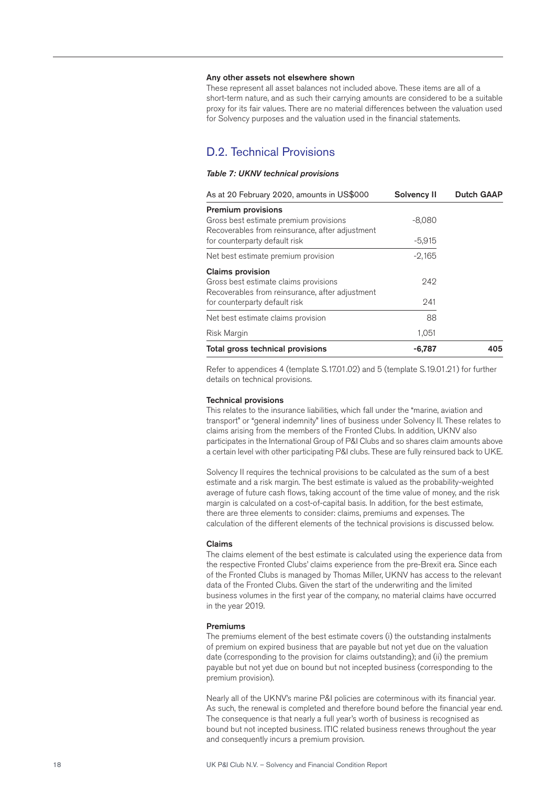#### Any other assets not elsewhere shown

These represent all asset balances not included above. These items are all of a short-term nature, and as such their carrying amounts are considered to be a suitable proxy for its fair values. There are no material differences between the valuation used for Solvency purposes and the valuation used in the financial statements.

## D.2. Technical Provisions

#### *Table 7: UKNV technical provisions*

| As at 20 February 2020, amounts in US\$000                                                | <b>Solvency II</b> | <b>Dutch GAAP</b> |
|-------------------------------------------------------------------------------------------|--------------------|-------------------|
| <b>Premium provisions</b>                                                                 |                    |                   |
| Gross best estimate premium provisions<br>Recoverables from reinsurance, after adjustment | $-8,080$           |                   |
| for counterparty default risk                                                             | $-5,915$           |                   |
| Net best estimate premium provision                                                       | $-2,165$           |                   |
| <b>Claims provision</b>                                                                   |                    |                   |
| Gross best estimate claims provisions<br>Recoverables from reinsurance, after adjustment  | 242                |                   |
| for counterparty default risk                                                             | 241                |                   |
| Net best estimate claims provision                                                        | 88                 |                   |
| Risk Margin                                                                               | 1,051              |                   |
| Total gross technical provisions                                                          | -6.787             | 405               |

Refer to appendices 4 (template S.17.01.02) and 5 (template S.19.01.21) for further details on technical provisions.

#### Technical provisions

This relates to the insurance liabilities, which fall under the "marine, aviation and transport" or "general indemnity" lines of business under Solvency II. These relates to claims arising from the members of the Fronted Clubs. In addition, UKNV also participates in the International Group of P&I Clubs and so shares claim amounts above a certain level with other participating P&I clubs. These are fully reinsured back to UKE.

Solvency II requires the technical provisions to be calculated as the sum of a best estimate and a risk margin. The best estimate is valued as the probability-weighted average of future cash flows, taking account of the time value of money, and the risk margin is calculated on a cost-of-capital basis. In addition, for the best estimate, there are three elements to consider: claims, premiums and expenses. The calculation of the different elements of the technical provisions is discussed below.

#### Claims

The claims element of the best estimate is calculated using the experience data from the respective Fronted Clubs' claims experience from the pre-Brexit era. Since each of the Fronted Clubs is managed by Thomas Miller, UKNV has access to the relevant data of the Fronted Clubs. Given the start of the underwriting and the limited business volumes in the first year of the company, no material claims have occurred in the year 2019.

#### Premiums

The premiums element of the best estimate covers (i) the outstanding instalments of premium on expired business that are payable but not yet due on the valuation date (corresponding to the provision for claims outstanding); and (ii) the premium payable but not yet due on bound but not incepted business (corresponding to the premium provision).

Nearly all of the UKNV's marine P&I policies are coterminous with its financial year. As such, the renewal is completed and therefore bound before the financial year end. The consequence is that nearly a full year's worth of business is recognised as bound but not incepted business. ITIC related business renews throughout the year and consequently incurs a premium provision.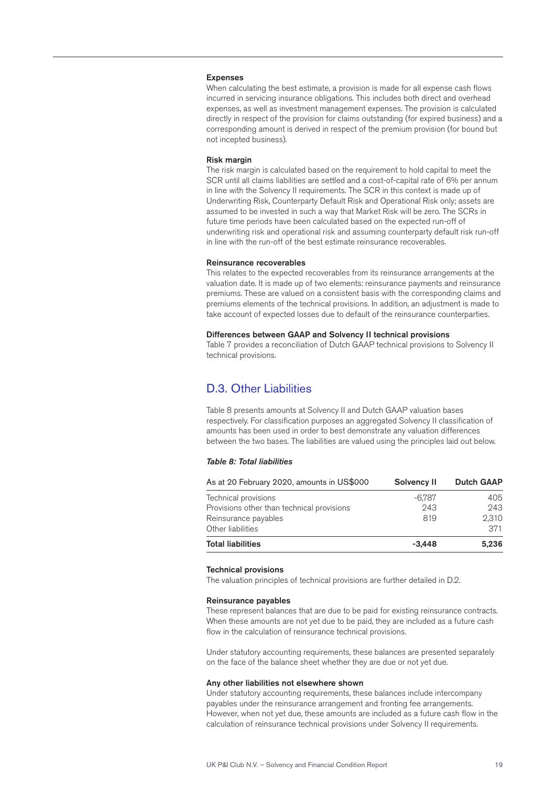#### Expenses

When calculating the best estimate, a provision is made for all expense cash flows incurred in servicing insurance obligations. This includes both direct and overhead expenses, as well as investment management expenses. The provision is calculated directly in respect of the provision for claims outstanding (for expired business) and a corresponding amount is derived in respect of the premium provision (for bound but not incepted business).

#### Risk margin

The risk margin is calculated based on the requirement to hold capital to meet the SCR until all claims liabilities are settled and a cost-of-capital rate of 6% per annum in line with the Solvency II requirements. The SCR in this context is made up of Underwriting Risk, Counterparty Default Risk and Operational Risk only; assets are assumed to be invested in such a way that Market Risk will be zero. The SCRs in future time periods have been calculated based on the expected run-off of underwriting risk and operational risk and assuming counterparty default risk run-off in line with the run-off of the best estimate reinsurance recoverables.

#### Reinsurance recoverables

This relates to the expected recoverables from its reinsurance arrangements at the valuation date. It is made up of two elements: reinsurance payments and reinsurance premiums. These are valued on a consistent basis with the corresponding claims and premiums elements of the technical provisions. In addition, an adjustment is made to take account of expected losses due to default of the reinsurance counterparties.

#### Differences between GAAP and Solvency II technical provisions

Table 7 provides a reconciliation of Dutch GAAP technical provisions to Solvency II technical provisions.

## D.3. Other Liabilities

Table 8 presents amounts at Solvency II and Dutch GAAP valuation bases respectively. For classification purposes an aggregated Solvency II classification of amounts has been used in order to best demonstrate any valuation differences between the two bases. The liabilities are valued using the principles laid out below.

#### *Table 8: Total liabilities*

| As at 20 February 2020, amounts in US\$000 | Solvency II | <b>Dutch GAAP</b> |
|--------------------------------------------|-------------|-------------------|
| Technical provisions                       | -6.787      | 405               |
| Provisions other than technical provisions | 243         | 243               |
| Reinsurance payables                       | 819         | 2,310             |
| Other liabilities                          |             | 371               |
| <b>Total liabilities</b>                   | $-3.448$    | 5.236             |

#### Technical provisions

The valuation principles of technical provisions are further detailed in D.2.

#### Reinsurance payables

These represent balances that are due to be paid for existing reinsurance contracts. When these amounts are not yet due to be paid, they are included as a future cash flow in the calculation of reinsurance technical provisions.

Under statutory accounting requirements, these balances are presented separately on the face of the balance sheet whether they are due or not yet due.

#### Any other liabilities not elsewhere shown

Under statutory accounting requirements, these balances include intercompany payables under the reinsurance arrangement and fronting fee arrangements. However, when not yet due, these amounts are included as a future cash flow in the calculation of reinsurance technical provisions under Solvency II requirements.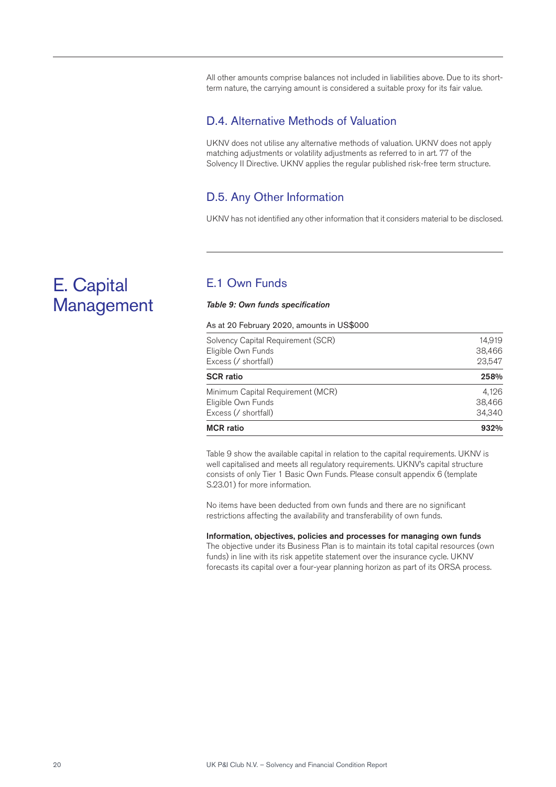All other amounts comprise balances not included in liabilities above. Due to its shortterm nature, the carrying amount is considered a suitable proxy for its fair value.

## D.4. Alternative Methods of Valuation

UKNV does not utilise any alternative methods of valuation. UKNV does not apply matching adjustments or volatility adjustments as referred to in art. 77 of the Solvency II Directive. UKNV applies the regular published risk-free term structure.

## D.5. Any Other Information

UKNV has not identified any other information that it considers material to be disclosed.

## E.1 Own Funds

#### *Table 9: Own funds specification*

As at 20 February 2020, amounts in US\$000

| <b>MCR</b> ratio                           | 932%             |
|--------------------------------------------|------------------|
| Excess (/ shortfall)                       | 34,340           |
| Eligible Own Funds                         | 38,466           |
| Minimum Capital Requirement (MCR)          | 4.126            |
| <b>SCR ratio</b>                           | 258%             |
| Eligible Own Funds<br>Excess (/ shortfall) | 38,466<br>23,547 |
| Solvency Capital Requirement (SCR)         | 14.919           |

Table 9 show the available capital in relation to the capital requirements. UKNV is well capitalised and meets all regulatory requirements. UKNV's capital structure consists of only Tier 1 Basic Own Funds. Please consult appendix 6 (template S.23.01) for more information.

No items have been deducted from own funds and there are no significant restrictions affecting the availability and transferability of own funds.

#### Information, objectives, policies and processes for managing own funds

The objective under its Business Plan is to maintain its total capital resources (own funds) in line with its risk appetite statement over the insurance cycle. UKNV forecasts its capital over a four-year planning horizon as part of its ORSA process.

## E. Capital Management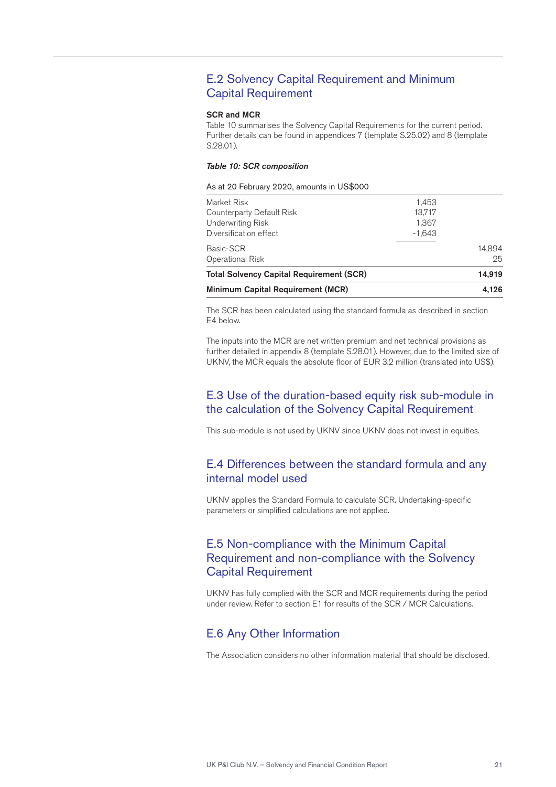## E.2 Solvency Capital Requirement and Minimum Capital Requirement

#### SCR and MCR

Table 10 summarises the Solvency Capital Requirements for the current period. Further details can be found in appendices 7 (template S.25.02) and 8 (template S.28.01).

#### *Table 10: SCR composition*

#### As at 20 February 2020, amounts in US\$000

| Minimum Capital Requirement (MCR)                                                              | 4.126                                |              |
|------------------------------------------------------------------------------------------------|--------------------------------------|--------------|
| <b>Total Solvency Capital Requirement (SCR)</b>                                                |                                      | 14.919       |
| Basic-SCR<br>Operational Risk                                                                  |                                      | 14.894<br>25 |
| Market Risk<br>Counterparty Default Risk<br><b>Underwriting Risk</b><br>Diversification effect | 1,453<br>13,717<br>1,367<br>$-1,643$ |              |

The SCR has been calculated using the standard formula as described in section E4 below.

The inputs into the MCR are net written premium and net technical provisions as further detailed in appendix 8 (template S.28.01). However, due to the limited size of UKNV, the MCR equals the absolute floor of EUR 3.2 million (translated into US\$).

## E.3 Use of the duration-based equity risk sub-module in the calculation of the Solvency Capital Requirement

This sub-module is not used by UKNV since UKNV does not invest in equities.

### E.4 Differences between the standard formula and any internal model used

UKNV applies the Standard Formula to calculate SCR. Undertaking-specific parameters or simplified calculations are not applied.

## E.5 Non-compliance with the Minimum Capital Requirement and non-compliance with the Solvency Capital Requirement

UKNV has fully complied with the SCR and MCR requirements during the period under review. Refer to section E1 for results of the SCR / MCR Calculations.

### E.6 Any Other Information

The Association considers no other information material that should be disclosed.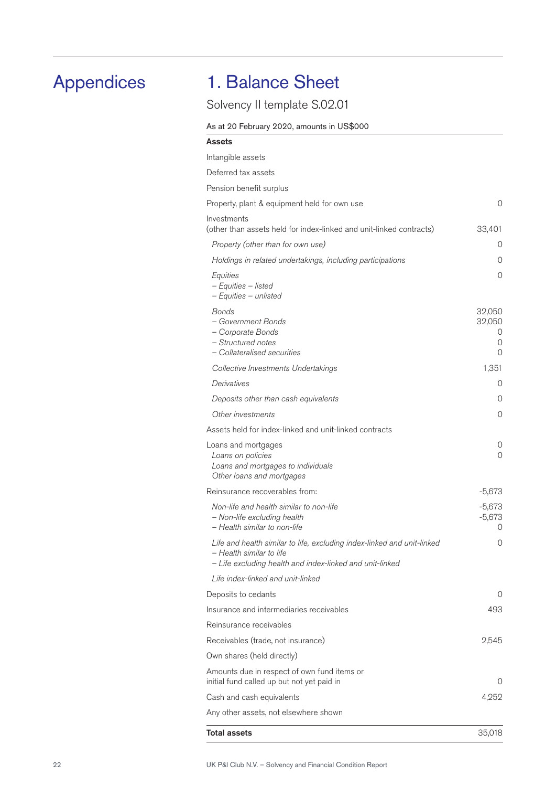## Appendices

## 1. Balance Sheet

## Solvency II template S.02.01

### As at 20 February 2020, amounts in US\$000

| Assets                                                                                                                                                          |                                 |
|-----------------------------------------------------------------------------------------------------------------------------------------------------------------|---------------------------------|
| Intangible assets                                                                                                                                               |                                 |
| Deferred tax assets                                                                                                                                             |                                 |
| Pension benefit surplus                                                                                                                                         |                                 |
| Property, plant & equipment held for own use                                                                                                                    | 0                               |
| Investments<br>(other than assets held for index-linked and unit-linked contracts)                                                                              | 33,401                          |
| Property (other than for own use)                                                                                                                               | 0                               |
| Holdings in related undertakings, including participations                                                                                                      | 0                               |
| Equities<br>- Equities - listed<br>- Equities - unlisted                                                                                                        | 0                               |
| Bonds<br>- Government Bonds<br>- Corporate Bonds<br>- Structured notes<br>- Collateralised securities                                                           | 32,050<br>32,050<br>U<br>0<br>0 |
| Collective Investments Undertakings                                                                                                                             | 1,351                           |
| Derivatives                                                                                                                                                     | 0                               |
| Deposits other than cash equivalents                                                                                                                            | 0                               |
| Other investments                                                                                                                                               | 0                               |
| Assets held for index-linked and unit-linked contracts                                                                                                          |                                 |
| Loans and mortgages<br>Loans on policies<br>Loans and mortgages to individuals<br>Other loans and mortgages                                                     | 0<br>0                          |
| Reinsurance recoverables from:                                                                                                                                  | $-5,673$                        |
| Non-life and health similar to non-life<br>- Non-life excluding health<br>- Health similar to non-life                                                          | $-5,673$<br>$-5,673$<br>0       |
| Life and health similar to life, excluding index-linked and unit-linked<br>- Health similar to life<br>- Life excluding health and index-linked and unit-linked | 0                               |
| Life index-linked and unit-linked                                                                                                                               |                                 |
| Deposits to cedants                                                                                                                                             | 0                               |
| Insurance and intermediaries receivables                                                                                                                        | 493                             |
| Reinsurance receivables                                                                                                                                         |                                 |
| Receivables (trade, not insurance)                                                                                                                              | 2,545                           |
| Own shares (held directly)                                                                                                                                      |                                 |
| Amounts due in respect of own fund items or<br>initial fund called up but not yet paid in                                                                       | $\Omega$                        |
| Cash and cash equivalents                                                                                                                                       | 4,252                           |
| Any other assets, not elsewhere shown                                                                                                                           |                                 |
| <b>Total assets</b>                                                                                                                                             | 35,018                          |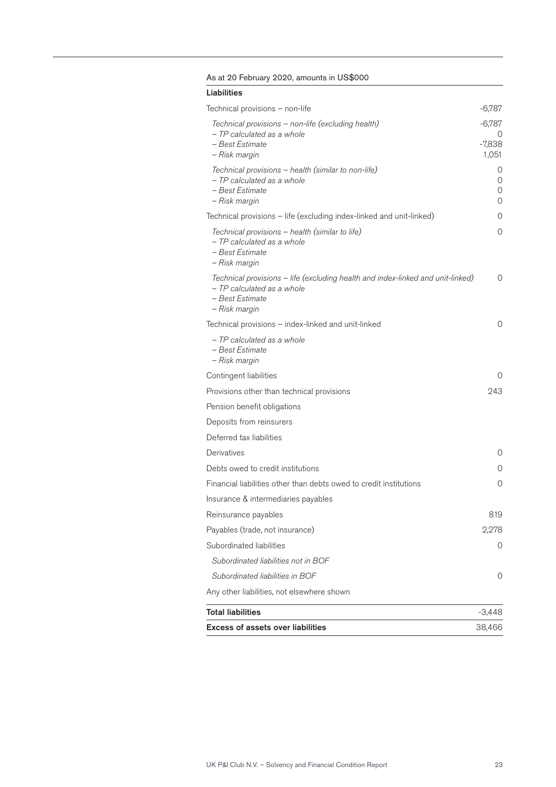### As at 20 February 2020, amounts in US\$000

| Liabilities                                                                                                                                       |                      |
|---------------------------------------------------------------------------------------------------------------------------------------------------|----------------------|
| Technical provisions - non-life                                                                                                                   | -6,787               |
| Technical provisions - non-life (excluding health)                                                                                                | -6,787               |
| - TP calculated as a whole<br>- Best Estimate<br>- Risk margin                                                                                    | 0<br>-7,838<br>1,051 |
| Technical provisions – health (similar to non-life)<br>- TP calculated as a whole<br>- Best Estimate<br>- Risk margin                             | 0<br>0<br>0<br>0     |
| Technical provisions - life (excluding index-linked and unit-linked)                                                                              | 0                    |
| Technical provisions - health (similar to life)<br>- TP calculated as a whole<br>– Best Estimate<br>- Risk margin                                 | 0                    |
| Technical provisions - life (excluding health and index-linked and unit-linked)<br>- TP calculated as a whole<br>– Best Estimate<br>- Risk margin | 0                    |
| Technical provisions – index-linked and unit-linked                                                                                               | 0                    |
| - TP calculated as a whole<br>– Best Estimate<br>- Risk margin                                                                                    |                      |
| Contingent liabilities                                                                                                                            | 0                    |
| Provisions other than technical provisions                                                                                                        | 243                  |
| Pension benefit obligations                                                                                                                       |                      |
| Deposits from reinsurers                                                                                                                          |                      |
| Deferred tax liabilities                                                                                                                          |                      |
| Derivatives                                                                                                                                       | 0                    |
| Debts owed to credit institutions                                                                                                                 | 0                    |
| Financial liabilities other than debts owed to credit institutions                                                                                | 0                    |
| Insurance & intermediaries payables                                                                                                               |                      |
| Reinsurance payables                                                                                                                              | 819                  |
| Payables (trade, not insurance)                                                                                                                   | 2,278                |
| Subordinated liabilities                                                                                                                          | 0                    |
| Subordinated liabilities not in BOF                                                                                                               |                      |
| Subordinated liabilities in BOF                                                                                                                   | 0                    |
| Any other liabilities, not elsewhere shown                                                                                                        |                      |
| <b>Total liabilities</b>                                                                                                                          | $-3,448$             |
| <b>Excess of assets over liabilities</b>                                                                                                          | 38,466               |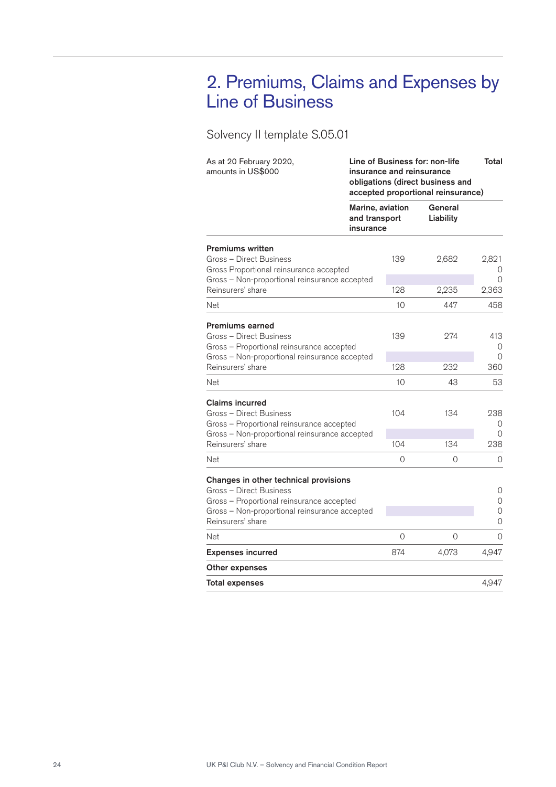## 2. Premiums, Claims and Expenses by Line of Business

## Solvency II template S.05.01

| As at 20 February 2020,<br>amounts in US\$000                                                                                                                                       | Line of Business for: non-life<br>insurance and reinsurance<br>obligations (direct business and<br>accepted proportional reinsurance) | Total                |       |                                |
|-------------------------------------------------------------------------------------------------------------------------------------------------------------------------------------|---------------------------------------------------------------------------------------------------------------------------------------|----------------------|-------|--------------------------------|
|                                                                                                                                                                                     | Marine, aviation<br>and transport<br>insurance                                                                                        | General<br>Liability |       |                                |
| <b>Premiums written</b><br>Gross - Direct Business<br>Gross Proportional reinsurance accepted<br>Gross - Non-proportional reinsurance accepted                                      |                                                                                                                                       | 139                  | 2,682 | 2,821<br>$\left( \right)$<br>0 |
| Reinsurers' share                                                                                                                                                                   |                                                                                                                                       | 128                  | 2,235 | 2,363                          |
| Net                                                                                                                                                                                 |                                                                                                                                       | 10                   | 447   | 458                            |
| <b>Premiums earned</b><br>Gross - Direct Business<br>Gross - Proportional reinsurance accepted                                                                                      |                                                                                                                                       | 139                  | 274   | 413<br>$\Omega$                |
| Gross - Non-proportional reinsurance accepted<br>Reinsurers' share                                                                                                                  |                                                                                                                                       | 128                  | 232   | $\Omega$<br>360                |
| Net                                                                                                                                                                                 |                                                                                                                                       | 10                   | 43    | 53                             |
| <b>Claims incurred</b><br>Gross - Direct Business<br>Gross - Proportional reinsurance accepted<br>Gross - Non-proportional reinsurance accepted                                     |                                                                                                                                       | 104                  | 134   | 238<br>0<br>0                  |
| Reinsurers' share                                                                                                                                                                   |                                                                                                                                       | 104                  | 134   | 238                            |
| Net                                                                                                                                                                                 |                                                                                                                                       | 0                    | 0     | 0                              |
| Changes in other technical provisions<br>Gross - Direct Business<br>Gross - Proportional reinsurance accepted<br>Gross - Non-proportional reinsurance accepted<br>Reinsurers' share |                                                                                                                                       |                      |       | 0<br>$\overline{O}$<br>0<br>0  |
| Net                                                                                                                                                                                 |                                                                                                                                       | 0                    | 0     | $\Omega$                       |
| <b>Expenses incurred</b>                                                                                                                                                            |                                                                                                                                       | 874                  | 4,073 | 4,947                          |
| Other expenses                                                                                                                                                                      |                                                                                                                                       |                      |       |                                |
| <b>Total expenses</b>                                                                                                                                                               |                                                                                                                                       |                      |       | 4,947                          |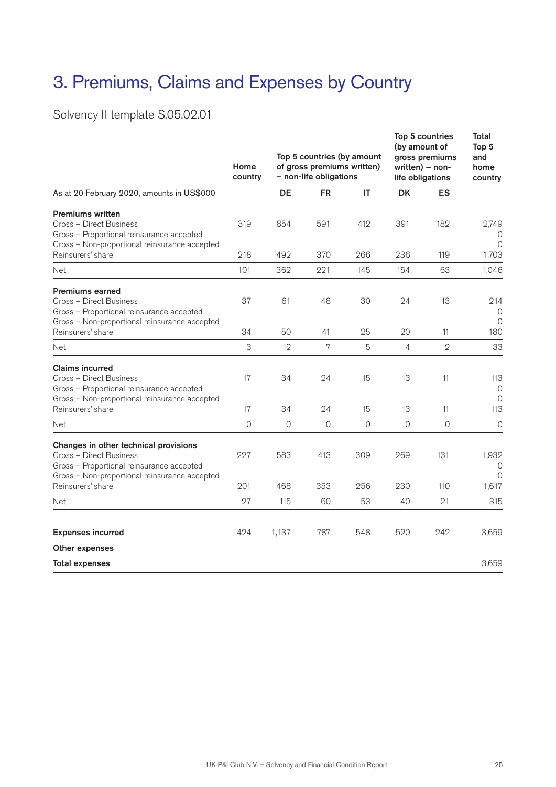## 3. Premiums, Claims and Expenses by Country

Solvency II template S.05.02.01

|                                                                                                                                                  | Home<br>country |             | - non-life obligations | Top 5 countries (by amount<br>of gross premiums written) | Top 5 countries<br>(by amount of<br>gross premiums<br>$written) - non-$<br>life obligations | Total<br>Top 5<br>and<br>home<br>country |                                   |
|--------------------------------------------------------------------------------------------------------------------------------------------------|-----------------|-------------|------------------------|----------------------------------------------------------|---------------------------------------------------------------------------------------------|------------------------------------------|-----------------------------------|
| As at 20 February 2020, amounts in US\$000                                                                                                       |                 | DE          | <b>FR</b>              | ΙT                                                       | <b>DK</b>                                                                                   | ES                                       |                                   |
| <b>Premiums written</b><br>Gross - Direct Business<br>Gross - Proportional reinsurance accepted<br>Gross - Non-proportional reinsurance accepted | 319             | 854         | 591                    | 412                                                      | 391                                                                                         | 182                                      | 2,749<br>$\Omega$                 |
| Reinsurers' share                                                                                                                                | 218             | 492         | 370                    | 266                                                      | 236                                                                                         | 119                                      | 1,703                             |
| Net                                                                                                                                              | 101             | 362         | 221                    | 145                                                      | 154                                                                                         | 63                                       | 1,046                             |
| <b>Premiums earned</b><br>Gross - Direct Business<br>Gross - Proportional reinsurance accepted<br>Gross - Non-proportional reinsurance accepted  | 37              | 61          | 48                     | 30                                                       | 24                                                                                          | 13                                       | 214<br>$\Omega$<br>$\Omega$       |
| Reinsurers' share                                                                                                                                | 34              | 50          | 41                     | 25                                                       | 20                                                                                          | 11                                       | 180                               |
| <b>Net</b>                                                                                                                                       | 3               | 12          | 7                      | 5                                                        | $\overline{4}$                                                                              | $\mathbf{2}$                             | 33                                |
| <b>Claims incurred</b><br>Gross - Direct Business<br>Gross - Proportional reinsurance accepted<br>Gross - Non-proportional reinsurance accepted  | 17              | 34          | 24                     | 15                                                       | 13                                                                                          | 11                                       | 113<br>$\overline{O}$<br>$\Omega$ |
| Reinsurers' share                                                                                                                                | 17              | 34          | 24                     | 15                                                       | 13                                                                                          | 11                                       | 113                               |
| Net                                                                                                                                              | $\mathbf 0$     | $\mathbf 0$ | $\overline{0}$         | 0                                                        | $\mathbf 0$                                                                                 | $\mathbf 0$                              | $\mathbf 0$                       |
| Changes in other technical provisions<br>Gross - Direct Business<br>Gross - Proportional reinsurance accepted                                    | 227             | 583         | 413                    | 309                                                      | 269                                                                                         | 131                                      | 1,932<br>0<br>$\Omega$            |
| Gross - Non-proportional reinsurance accepted<br>Reinsurers' share                                                                               | 201             | 468         | 353                    | 256                                                      | 230                                                                                         | 110                                      | 1,617                             |
| Net                                                                                                                                              | 27              | 115         | 60                     | 53                                                       | 40                                                                                          | 21                                       | 315                               |
| <b>Expenses incurred</b>                                                                                                                         | 424             | 1,137       | 787                    | 548                                                      | 520                                                                                         | 242                                      | 3,659                             |
| Other expenses                                                                                                                                   |                 |             |                        |                                                          |                                                                                             |                                          |                                   |
| <b>Total expenses</b>                                                                                                                            |                 |             |                        |                                                          |                                                                                             |                                          | 3,659                             |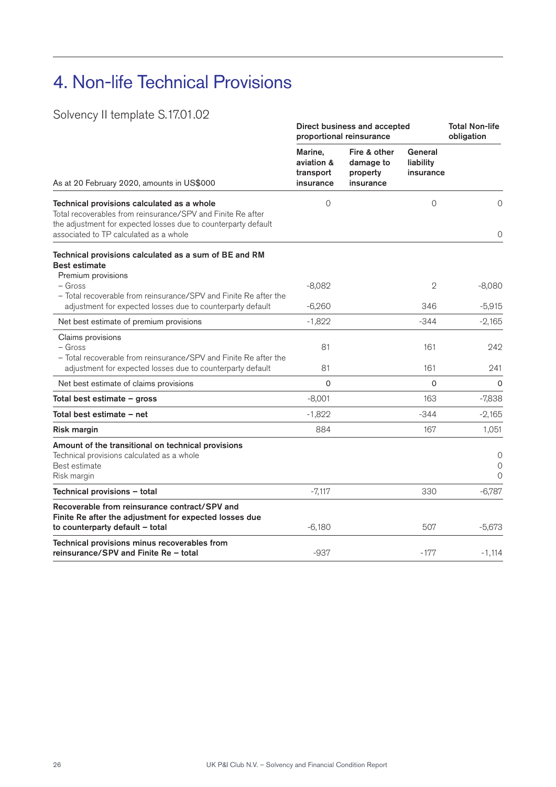## 4. Non-life Technical Provisions

## Solvency II template S.17.01.02

|                                                                                                                                                                             | Direct business and accepted<br>proportional reinsurance | <b>Total Non-life</b><br>obligation                |                                   |                                    |
|-----------------------------------------------------------------------------------------------------------------------------------------------------------------------------|----------------------------------------------------------|----------------------------------------------------|-----------------------------------|------------------------------------|
| As at 20 February 2020, amounts in US\$000                                                                                                                                  | Marine.<br>aviation &<br>transport<br>insurance          | Fire & other<br>damage to<br>property<br>insurance | General<br>liability<br>insurance |                                    |
| Technical provisions calculated as a whole<br>Total recoverables from reinsurance/SPV and Finite Re after<br>the adjustment for expected losses due to counterparty default | 0                                                        |                                                    | 0                                 | 0                                  |
| associated to TP calculated as a whole                                                                                                                                      |                                                          |                                                    |                                   | $\mathbf 0$                        |
| Technical provisions calculated as a sum of BE and RM<br><b>Best estimate</b>                                                                                               |                                                          |                                                    |                                   |                                    |
| Premium provisions<br>– Gross                                                                                                                                               | $-8,082$                                                 |                                                    | $\mathbf 2$                       | $-8,080$                           |
| - Total recoverable from reinsurance/SPV and Finite Re after the                                                                                                            |                                                          |                                                    |                                   |                                    |
| adjustment for expected losses due to counterparty default                                                                                                                  | $-6,260$                                                 |                                                    | 346                               | $-5,915$                           |
| Net best estimate of premium provisions                                                                                                                                     | $-1,822$                                                 |                                                    | $-344$                            | $-2,165$                           |
| Claims provisions<br>- Gross                                                                                                                                                | 81                                                       |                                                    | 161                               | 242                                |
| - Total recoverable from reinsurance/SPV and Finite Re after the<br>adjustment for expected losses due to counterparty default                                              | 81                                                       |                                                    | 161                               | 241                                |
| Net best estimate of claims provisions                                                                                                                                      | $\Omega$                                                 |                                                    | $\Omega$                          | 0                                  |
| Total best estimate – gross                                                                                                                                                 | $-8,001$                                                 |                                                    | 163                               | $-7,838$                           |
| Total best estimate - net                                                                                                                                                   | $-1,822$                                                 |                                                    | $-344$                            | $-2,165$                           |
| <b>Risk margin</b>                                                                                                                                                          | 884                                                      |                                                    | 167                               | 1,051                              |
| Amount of the transitional on technical provisions<br>Technical provisions calculated as a whole<br>Best estimate<br>Risk margin                                            |                                                          |                                                    |                                   | 0<br>$\mathbf 0$<br>$\overline{0}$ |
| Technical provisions - total                                                                                                                                                | $-7,117$                                                 |                                                    | 330                               | $-6,787$                           |
| Recoverable from reinsurance contract/SPV and<br>Finite Re after the adjustment for expected losses due<br>to counterparty default - total                                  | $-6,180$                                                 |                                                    | 507                               | $-5,673$                           |
| Technical provisions minus recoverables from<br>reinsurance/SPV and Finite Re - total                                                                                       | $-937$                                                   |                                                    | $-177$                            | $-1,114$                           |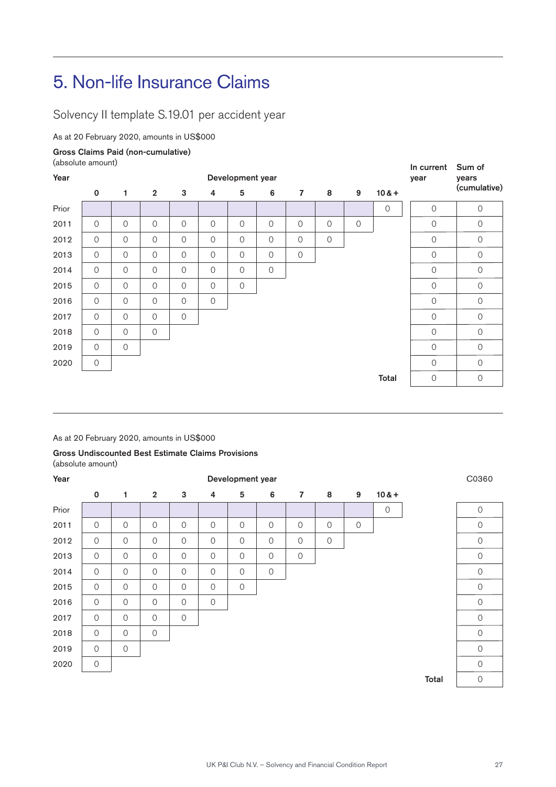## 5. Non-life Insurance Claims

Solvency II template S.19.01 per accident year

As at 20 February 2020, amounts in US\$000

#### Gross Claims Paid (non-cumulative)

(absolute amount)

|       | (absolute amount)   |                |                     |                |                     |                  |                |                |                |             |             | In current          | Sum of              |
|-------|---------------------|----------------|---------------------|----------------|---------------------|------------------|----------------|----------------|----------------|-------------|-------------|---------------------|---------------------|
| Year  |                     |                |                     |                |                     | Development year |                |                |                |             | year        | years               |                     |
|       | $\mathbf 0$         | 1              | $\overline{2}$      | 3              | 4                   | $\sqrt{5}$       | $\bf 6$        | $\overline{7}$ | 8              | 9           | $10 & +$    |                     | (cumulative)        |
| Prior |                     |                |                     |                |                     |                  |                |                |                |             | $\mathbf 0$ | $\mathcal{O}$       | $\mathsf{O}\xspace$ |
| 2011  | $\overline{0}$      | $\overline{O}$ | 0                   | $\overline{O}$ | $\mathcal{O}$       | $\mathcal{O}$    | $\overline{O}$ | $\mathcal{O}$  | $\overline{0}$ | $\mathbf 0$ |             | 0                   | $\mathbf 0$         |
| 2012  | $\overline{0}$      | $\overline{O}$ | 0                   | $\overline{O}$ | $\overline{0}$      | $\mathcal{O}$    | $\overline{O}$ | $\mathcal{O}$  | $\overline{O}$ |             |             | $\mathcal{O}$       | $\mathcal{O}$       |
| 2013  | $\mathsf{O}\xspace$ | $\overline{0}$ | 0                   | $\circ$        | $\mathsf{O}\xspace$ | $\mathbf 0$      | $\mathbf 0$    | $\mathsf{O}$   |                |             |             | $\mathsf{O}\xspace$ | $\mathbf 0$         |
| 2014  | $\overline{0}$      | $\overline{0}$ | $\mathcal{O}$       | $\overline{O}$ | $\overline{0}$      | $\mathcal{O}$    | $\mathbf 0$    |                |                |             |             | $\mathcal{O}$       | $\overline{O}$      |
| 2015  | $\overline{O}$      | $\overline{O}$ | $\mathcal{O}$       | $\overline{O}$ | $\overline{0}$      | $\circ$          |                |                |                |             |             | $\mathcal{O}$       | $\mathcal{O}$       |
| 2016  | $\mathcal{O}$       | $\overline{O}$ | 0                   | $\overline{O}$ | $\circ$             |                  |                |                |                |             |             | $\mathcal{O}$       | $\mathbf 0$         |
| 2017  | $\overline{0}$      | $\overline{0}$ | $\mathbf 0$         | $\mathbf 0$    |                     |                  |                |                |                |             |             | $\mathcal{O}$       | $\mathbf 0$         |
| 2018  | $\mathcal{O}$       | $\overline{O}$ | $\mathsf{O}\xspace$ |                |                     |                  |                |                |                |             |             | $\mathcal{O}$       | $\circ$             |
| 2019  | $\mathcal{O}$       | $\overline{O}$ |                     |                |                     |                  |                |                |                |             |             | $\mathcal{O}$       | $\circ$             |
| 2020  | $\circ$             |                |                     |                |                     |                  |                |                |                |             |             | $\overline{O}$      | $\overline{0}$      |
|       |                     |                |                     |                |                     |                  |                |                |                |             | Total       | $\mathsf O$         | $\mathbf 0$         |

As at 20 February 2020, amounts in US\$000

#### Gross Undiscounted Best Estimate Claims Provisions (absolute amount)

| Year  |                |             |                     | C0360               |               |                     |               |                     |         |             |             |       |                     |
|-------|----------------|-------------|---------------------|---------------------|---------------|---------------------|---------------|---------------------|---------|-------------|-------------|-------|---------------------|
|       | $\mathbf 0$    | 1           | $\overline{2}$      | 3                   | 4             | $5\phantom{.0}$     | 6             | $\overline{7}$      | 8       | 9           | $10 & +$    |       |                     |
| Prior |                |             |                     |                     |               |                     |               |                     |         |             | $\mathsf O$ |       | $\mathcal{O}$       |
| 2011  | $\overline{0}$ | $\mathbf 0$ | $\mathsf{O}\xspace$ | $\mathsf{O}\xspace$ | $\mathcal{O}$ | $\mathsf{O}\xspace$ | $\mathbf 0$   | $\mathsf{O}\xspace$ | $\circ$ | $\mathbf 0$ |             |       | $\mathsf{O}\xspace$ |
| 2012  | $\mathcal{O}$  | $\mathbf 0$ | $\circ$             | $\mathsf{O}\xspace$ | $\mathcal{O}$ | $\mathsf{O}\xspace$ | $\mathcal{O}$ | $\mathsf{O}\xspace$ | $\circ$ |             |             |       | $\mathsf{O}\xspace$ |
| 2013  | $\mathcal{O}$  | $\circ$     | $\overline{O}$      | $\mathbf 0$         | $\mathcal{O}$ | $\mathsf{O}$        | $\mathcal{O}$ | $\mathsf O$         |         |             |             |       | $\mathsf{O}\xspace$ |
| 2014  | $\mathcal{O}$  | $\mathbf 0$ | $\mathsf{O}$        | $\mathbf 0$         | $\mathcal{O}$ | $\mathsf O$         | $\mathsf{O}$  |                     |         |             |             |       | $\mathcal{O}$       |
| 2015  | $\mathbf 0$    | $\mathbf 0$ | $\mathsf O$         | $\mathsf O$         | $\mathcal{O}$ | $\mathbf 0$         |               |                     |         |             |             |       | $\mathbf 0$         |
| 2016  | $\mathcal{O}$  | $\mathbf 0$ | $\overline{O}$      | $\mathsf O$         | $\mathcal{O}$ |                     |               |                     |         |             |             |       | $\mathsf O$         |
| 2017  | $\mathcal{O}$  | $\mathbf 0$ | $\overline{O}$      | $\mathbf 0$         |               |                     |               |                     |         |             |             |       | $\mathsf{O}\xspace$ |
| 2018  | $\mathbf 0$    | $\mathbf 0$ | $\mathsf{O}\xspace$ |                     |               |                     |               |                     |         |             |             |       | $\mathsf{O}\xspace$ |
| 2019  | $\mathbf 0$    | $\mathbf 0$ |                     |                     |               |                     |               |                     |         |             |             |       | $\circ$             |
| 2020  | $\mathbf 0$    |             |                     |                     |               |                     |               |                     |         |             |             |       | $\mathcal{O}$       |
|       |                |             |                     |                     |               |                     |               |                     |         |             |             | Total | $\mathsf{O}\xspace$ |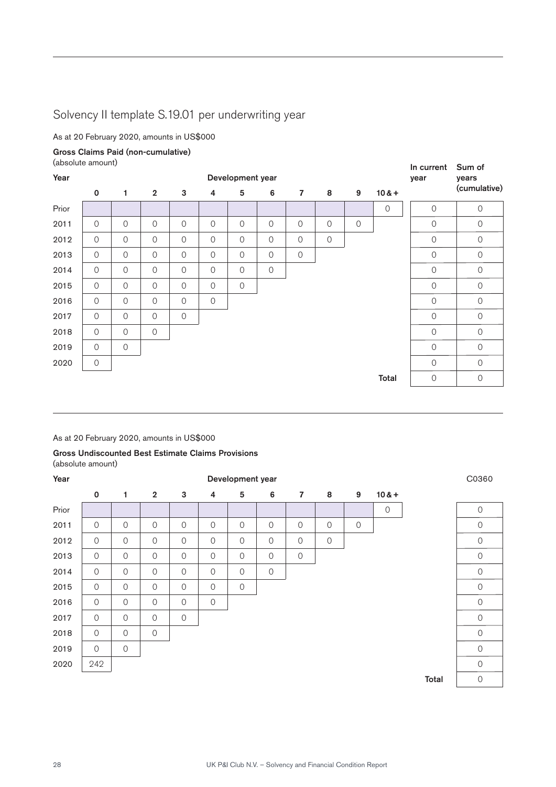## Solvency II template S.19.01 per underwriting year

As at 20 February 2020, amounts in US\$000

Gross Claims Paid (non-cumulative)

(absolute amount)

|       | laboolute allivality |                |                |                |                     |                  |             |                         |               |             |                | In current     | Sum of              |
|-------|----------------------|----------------|----------------|----------------|---------------------|------------------|-------------|-------------------------|---------------|-------------|----------------|----------------|---------------------|
| Year  |                      |                |                |                |                     | Development year |             |                         |               |             |                | year           | years               |
|       | $\mathbf 0$          | 1              | $\overline{2}$ | 3              | $\overline{4}$      | $5\phantom{.0}$  | 6           | $\overline{\mathbf{z}}$ | 8             | 9           | $10 & +$       |                | (cumulative)        |
| Prior |                      |                |                |                |                     |                  |             |                         |               |             | $\overline{0}$ | $\circ$        | $\mathsf{O}\xspace$ |
| 2011  | $\circ$              | $\mathbf 0$    | $\mathcal{O}$  | $\circ$        | $\mathsf{O}$        | $\mathbf 0$      | $\mathbf 0$ | $\mathbf 0$             | $\mathbf 0$   | $\mathbf 0$ |                | $\circ$        | $\mathbf 0$         |
| 2012  | $\mathcal{O}$        | $\overline{0}$ | $\mathcal{O}$  | $\circ$        | $\circ$             | $\mathcal{O}$    | $\mathbf 0$ | $\mathcal{O}$           | $\mathcal{O}$ |             |                | $\overline{O}$ | $\mathcal{O}$       |
| 2013  | $\circ$              | $\mathbf 0$    | $\mathcal{O}$  | $\overline{O}$ | $\mathsf{O}\xspace$ | $\mathcal{O}$    | $\mathsf O$ | $\mathsf O$             |               |             |                | $\circ$        | $\mathbf 0$         |
| 2014  | $\overline{0}$       | $\overline{0}$ | $\mathcal{O}$  | $\overline{O}$ | $\circ$             | $\mathcal{O}$    | $\mathsf O$ |                         |               |             |                | $\overline{0}$ | $\mathsf{O}\xspace$ |
| 2015  | $\overline{0}$       | $\overline{0}$ | $\mathcal{O}$  | $\overline{O}$ | $\overline{0}$      | $\circ$          |             |                         |               |             |                | $\overline{O}$ | $\circ$             |
| 2016  | $\circ$              | $\overline{0}$ | $\mathcal{O}$  | $\circ$        | $\mathsf{O}$        |                  |             |                         |               |             |                | $\circ$        | $\circ$             |
| 2017  | $\mathcal{O}$        | $\overline{0}$ | $\circ$        | $\mathbf 0$    |                     |                  |             |                         |               |             |                | $\circ$        | $\mathbf 0$         |
| 2018  | $\mathcal{O}$        | $\overline{O}$ | $\overline{0}$ |                |                     |                  |             |                         |               |             |                | $\overline{O}$ | $\circ$             |
| 2019  | $\circ$              | $\overline{0}$ |                |                |                     |                  |             |                         |               |             |                | $\overline{O}$ | $\circ$             |
| 2020  | $\circ$              |                |                |                |                     |                  |             |                         |               |             |                | $\overline{0}$ | $\overline{0}$      |
|       |                      |                |                |                |                     |                  |             |                         |               |             | Total          | $\mathbf 0$    | $\mathbf 0$         |

As at 20 February 2020, amounts in US\$000

#### Gross Undiscounted Best Estimate Claims Provisions (absolute amount)

| Year  |                | Development year    |                |                |                |               |                |                |             |             |             |  |                     |  |
|-------|----------------|---------------------|----------------|----------------|----------------|---------------|----------------|----------------|-------------|-------------|-------------|--|---------------------|--|
|       | $\mathbf 0$    | 1                   | $\overline{2}$ | 3              | $\overline{4}$ | 5             | 6              | $\overline{7}$ | 8           | 9           | $10 & +$    |  |                     |  |
| Prior |                |                     |                |                |                |               |                |                |             |             | $\mathbf 0$ |  | $\mathbf 0$         |  |
| 2011  | $\mathbf 0$    | $\mathsf{O}\xspace$ | $\overline{O}$ | 0              | $\mathcal{O}$  | $\mathbf 0$   | $\overline{O}$ | $\overline{0}$ | $\mathbf 0$ | $\mathbf 0$ |             |  | $\mathbf 0$         |  |
| 2012  | $\circ$        | $\mathsf O$         | $\overline{O}$ | $\overline{0}$ | $\overline{O}$ | $\mathbf 0$   | $\mathbf 0$    | $\mathbf 0$    | $\mathbf 0$ |             |             |  | $\mathcal{O}$       |  |
| 2013  | $\circ$        | $\mathsf O$         | $\overline{O}$ | $\mathbf 0$    | $\circ$        | $\mathbf 0$   | $\mathbf 0$    | $\mathbf 0$    |             |             |             |  | $\mathbf 0$         |  |
| 2014  | $\overline{O}$ | $\mathsf{O}\xspace$ | $\overline{O}$ | 0              | $\overline{O}$ | $\mathcal{O}$ | $\mathbf 0$    |                |             |             |             |  | $\mathcal{O}$       |  |
| 2015  | $\overline{0}$ | $\mathsf{O}\xspace$ | $\overline{O}$ | 0              | $\overline{O}$ | $\mathbf 0$   |                |                |             |             |             |  | $\mathsf{O}\xspace$ |  |
| 2016  | $\mathsf{O}$   | $\mathsf{O}\xspace$ | $\overline{O}$ | 0              | $\mathsf{O}$   |               |                |                |             |             |             |  | $\mathbf 0$         |  |
| 2017  | $\mathbf 0$    | $\mathsf{O}$        | $\overline{O}$ | 0              |                |               |                |                |             |             |             |  | $\overline{0}$      |  |
| 2018  | $\mathcal{O}$  | $\mathsf{O}\xspace$ | $\overline{O}$ |                |                |               |                |                |             |             |             |  | $\mathbf 0$         |  |
| 2019  | $\circ$        | $\mathsf{O}\xspace$ |                |                |                |               |                |                |             |             |             |  | $\mathsf{O}\xspace$ |  |
| 2020  | 242            |                     |                |                |                |               |                |                |             |             |             |  | $\mathbf 0$         |  |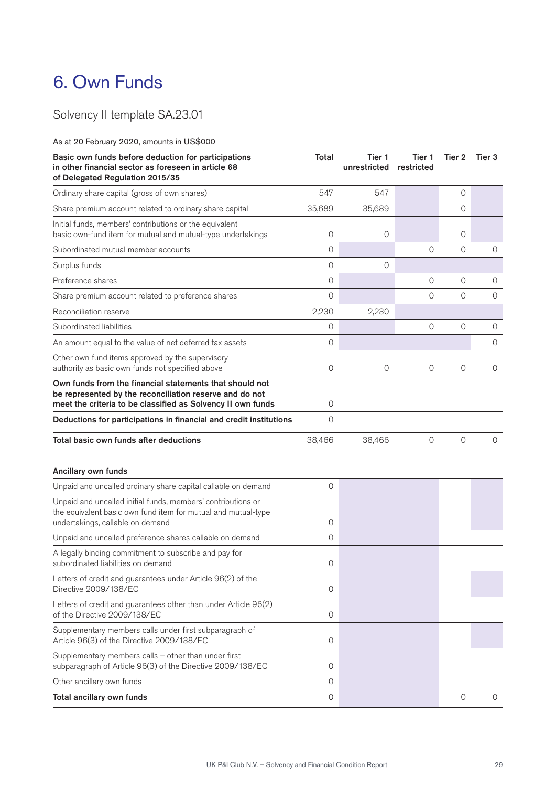## 6. Own Funds

Solvency II template SA.23.01

As at 20 February 2020, amounts in US\$000

| Basic own funds before deduction for participations<br>in other financial sector as foreseen in article 68<br>of Delegated Regulation 2015/35                                     | <b>Total</b>        | Tier 1<br>unrestricted | Tier 1<br>restricted | Tier 2      | Tier 3         |
|-----------------------------------------------------------------------------------------------------------------------------------------------------------------------------------|---------------------|------------------------|----------------------|-------------|----------------|
| Ordinary share capital (gross of own shares)                                                                                                                                      | 547                 | 547                    |                      | 0           |                |
| Share premium account related to ordinary share capital                                                                                                                           | 35,689              | 35,689                 |                      | 0           |                |
| Initial funds, members' contributions or the equivalent<br>basic own-fund item for mutual and mutual-type undertakings                                                            | 0                   | 0                      |                      | 0           |                |
| Subordinated mutual member accounts                                                                                                                                               | 0                   |                        | $\mathbf 0$          | $\mathbf 0$ | $\mathbf 0$    |
| Surplus funds                                                                                                                                                                     | 0                   | 0                      |                      |             |                |
| Preference shares                                                                                                                                                                 | 0                   |                        | $\overline{0}$       | 0           | $\mathcal{O}$  |
| Share premium account related to preference shares                                                                                                                                | 0                   |                        | $\overline{0}$       | $\mathbf 0$ | $\mathbf 0$    |
| Reconciliation reserve                                                                                                                                                            | 2,230               | 2,230                  |                      |             |                |
| Subordinated liabilities                                                                                                                                                          | 0                   |                        | $\mathbf 0$          | $\mathbf 0$ | $\mathbf 0$    |
| An amount equal to the value of net deferred tax assets                                                                                                                           | $\mathsf{O}\xspace$ |                        |                      |             | $\mathbf 0$    |
| Other own fund items approved by the supervisory<br>authority as basic own funds not specified above                                                                              | 0                   | 0                      | 0                    | 0           | 0              |
| Own funds from the financial statements that should not<br>be represented by the reconciliation reserve and do not<br>meet the criteria to be classified as Solvency II own funds | 0                   |                        |                      |             |                |
| Deductions for participations in financial and credit institutions                                                                                                                | $\overline{0}$      |                        |                      |             |                |
| Total basic own funds after deductions                                                                                                                                            | 38,466              | 38,466                 | $\mathbf 0$          | $\mathbf 0$ | $\overline{0}$ |
| Ancillary own funds                                                                                                                                                               |                     |                        |                      |             |                |
| Unpaid and uncalled ordinary share capital callable on demand                                                                                                                     | 0                   |                        |                      |             |                |
| Unpaid and uncalled initial funds, members' contributions or<br>the equivalent basic own fund item for mutual and mutual-type<br>undertakings, callable on demand                 | 0                   |                        |                      |             |                |
| Unpaid and uncalled preference shares callable on demand                                                                                                                          | 0                   |                        |                      |             |                |
| A legally binding commitment to subscribe and pay for<br>subordinated liabilities on demand                                                                                       | 0                   |                        |                      |             |                |
| Letters of credit and guarantees under Article 96(2) of the<br>Directive 2009/138/EC                                                                                              | 0                   |                        |                      |             |                |
| Letters of credit and guarantees other than under Article 96(2)<br>of the Directive 2009/138/EC                                                                                   | 0                   |                        |                      |             |                |
| Supplementary members calls under first subparagraph of<br>Article 96(3) of the Directive 2009/138/EC                                                                             | 0                   |                        |                      |             |                |
| Supplementary members calls - other than under first<br>subparagraph of Article 96(3) of the Directive 2009/138/EC                                                                | 0                   |                        |                      |             |                |
| Other ancillary own funds                                                                                                                                                         | $\mathsf{O}\xspace$ |                        |                      |             |                |
| Total ancillary own funds                                                                                                                                                         | $\mathsf O$         |                        |                      | $\mathbf 0$ | $\overline{O}$ |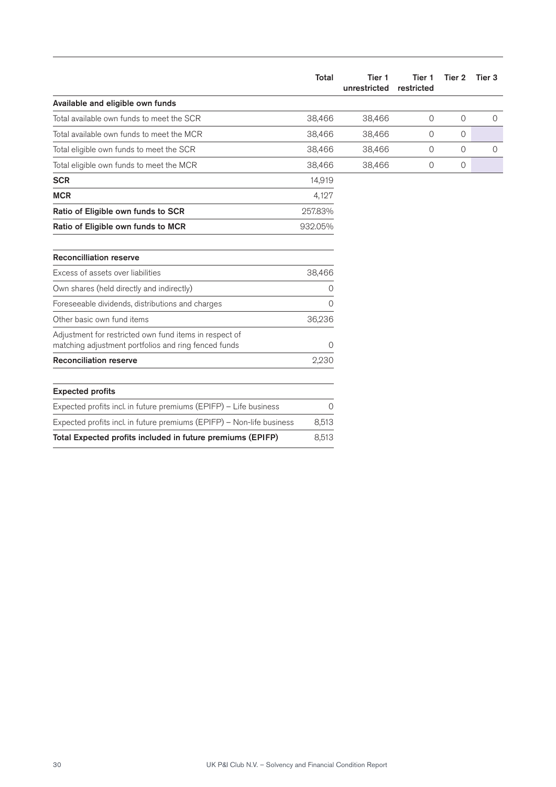|                                                                                                                | Total   | Tier 1<br>unrestricted | Tier 1<br>restricted | Tier 2         | Tier <sub>3</sub> |
|----------------------------------------------------------------------------------------------------------------|---------|------------------------|----------------------|----------------|-------------------|
| Available and eligible own funds                                                                               |         |                        |                      |                |                   |
| Total available own funds to meet the SCR                                                                      | 38,466  | 38,466                 | $\overline{O}$       | $\overline{O}$ | $\circ$           |
| Total available own funds to meet the MCR                                                                      | 38,466  | 38,466                 | 0                    | $\mathcal{O}$  |                   |
| Total eligible own funds to meet the SCR                                                                       | 38,466  | 38,466                 | $\circ$              | $\mathcal{O}$  | $\circ$           |
| Total eligible own funds to meet the MCR                                                                       | 38,466  | 38,466                 | $\circ$              | $\circ$        |                   |
| <b>SCR</b>                                                                                                     | 14,919  |                        |                      |                |                   |
| <b>MCR</b>                                                                                                     | 4,127   |                        |                      |                |                   |
| Ratio of Eligible own funds to SCR                                                                             | 257.83% |                        |                      |                |                   |
| Ratio of Eligible own funds to MCR                                                                             | 932.05% |                        |                      |                |                   |
| <b>Reconcilliation reserve</b>                                                                                 |         |                        |                      |                |                   |
| Excess of assets over liabilities                                                                              | 38,466  |                        |                      |                |                   |
| Own shares (held directly and indirectly)                                                                      | 0       |                        |                      |                |                   |
| Foreseeable dividends, distributions and charges                                                               | 0       |                        |                      |                |                   |
| Other basic own fund items                                                                                     | 36,236  |                        |                      |                |                   |
| Adjustment for restricted own fund items in respect of<br>matching adjustment portfolios and ring fenced funds | 0       |                        |                      |                |                   |
| <b>Reconciliation reserve</b>                                                                                  | 2,230   |                        |                      |                |                   |
| <b>Expected profits</b>                                                                                        |         |                        |                      |                |                   |
| Expected profits incl. in future premiums (EPIFP) - Life business                                              | 0       |                        |                      |                |                   |
| Expected profits incl. in future premiums (EPIFP) - Non-life business                                          | 8,513   |                        |                      |                |                   |
| Total Expected profits included in future premiums (EPIFP)                                                     | 8,513   |                        |                      |                |                   |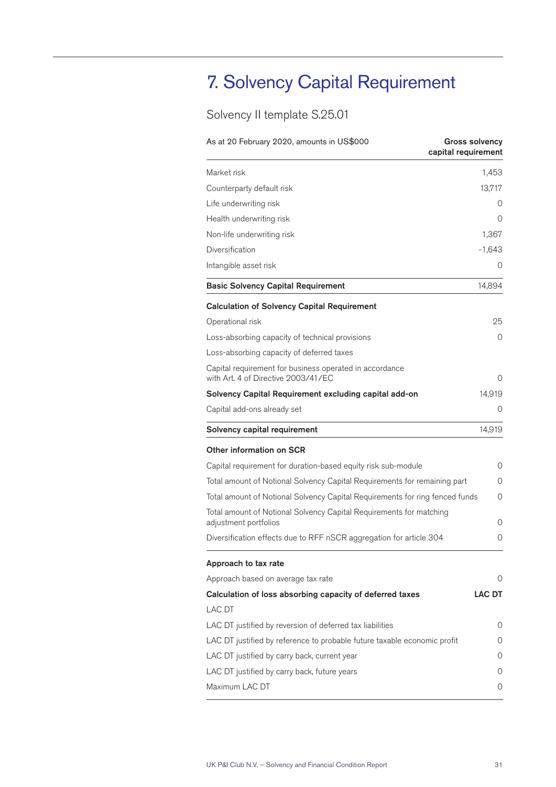## 7. Solvency Capital Requirement

## Solvency II template S.25.01

| As at 20 February 2020, amounts in US\$000                                                     | <b>Gross solvency</b><br>capital requirement |
|------------------------------------------------------------------------------------------------|----------------------------------------------|
| Market risk                                                                                    | 1,453                                        |
| Counterparty default risk                                                                      | 13,717                                       |
| Life underwriting risk                                                                         | O                                            |
| Health underwriting risk                                                                       | Ο                                            |
| Non-life underwriting risk                                                                     | 1,367                                        |
| Diversification                                                                                | $-1,643$                                     |
| Intangible asset risk                                                                          | O                                            |
| <b>Basic Solvency Capital Requirement</b>                                                      | 14,894                                       |
| <b>Calculation of Solvency Capital Requirement</b>                                             |                                              |
| Operational risk                                                                               | 25                                           |
| Loss-absorbing capacity of technical provisions                                                | 0                                            |
| Loss-absorbing capacity of deferred taxes                                                      |                                              |
| Capital requirement for business operated in accordance<br>with Art. 4 of Directive 2003/41/EC | Ο                                            |
| Solvency Capital Requirement excluding capital add-on                                          | 14,919                                       |
| Capital add-ons already set                                                                    | Ο                                            |
| Solvency capital requirement                                                                   | 14,919                                       |
| <b>Other information on SCR</b>                                                                |                                              |
| Capital requirement for duration-based equity risk sub-module                                  | 0                                            |
| Total amount of Notional Solvency Capital Requirements for remaining part                      | 0                                            |
| Total amount of Notional Solvency Capital Requirements for ring fenced funds                   | 0                                            |
| Total amount of Notional Solvency Capital Requirements for matching<br>adjustment portfolios   | 0                                            |
| Diversification effects due to RFF nSCR aggregation for article 304                            | 0                                            |
| Approach to tax rate                                                                           |                                              |
| Approach based on average tax rate                                                             | 0                                            |
| Calculation of loss absorbing capacity of deferred taxes                                       | <b>LAC DT</b>                                |
| LAC DT                                                                                         |                                              |
| LAC DT justified by reversion of deferred tax liabilities                                      | 0                                            |
| LAC DT justified by reference to probable future taxable economic profit                       | O                                            |
| LAC DT justified by carry back, current year                                                   | 0                                            |
| LAC DT justified by carry back, future years                                                   | 0                                            |
| Maximum LAC DT                                                                                 | 0                                            |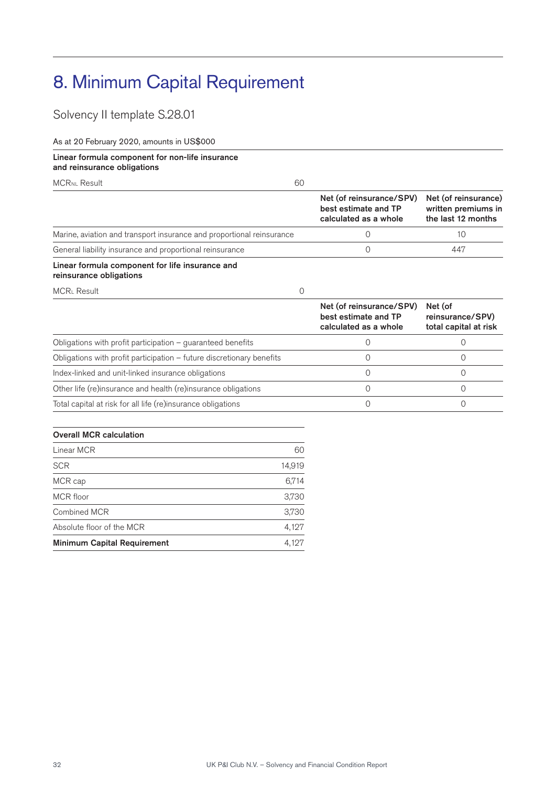## 8. Minimum Capital Requirement

Solvency II template S.28.01

As at 20 February 2020, amounts in US\$000

#### Linear formula component for non-life insurance and reinsurance obligations

MCRNL Result 60

|                                                                            | Net (of reinsurance/SPV)<br>best estimate and TP<br>calculated as a whole | Net (of reinsurance)<br>written premiums in<br>the last 12 months |
|----------------------------------------------------------------------------|---------------------------------------------------------------------------|-------------------------------------------------------------------|
| Marine, aviation and transport insurance and proportional reinsurance      |                                                                           | 10                                                                |
| General liability insurance and proportional reinsurance                   |                                                                           | 447                                                               |
| Linear formula component for life insurance and<br>reinsurance obligations |                                                                           |                                                                   |

MCRL Result 0

|                                                                         | Net (of reinsurance/SPV)<br>best estimate and TP<br>calculated as a whole | Net (of<br>reinsurance/SPV)<br>total capital at risk |
|-------------------------------------------------------------------------|---------------------------------------------------------------------------|------------------------------------------------------|
| Obligations with profit participation $-$ quaranteed benefits           |                                                                           |                                                      |
| Obligations with profit participation $-$ future discretionary benefits |                                                                           |                                                      |
| Index-linked and unit-linked insurance obligations                      |                                                                           |                                                      |
| Other life (re)insurance and health (re)insurance obligations           |                                                                           |                                                      |
| Total capital at risk for all life (re)insurance obligations            |                                                                           |                                                      |

| <b>Overall MCR calculation</b>     |        |
|------------------------------------|--------|
| Linear MCR                         | 60     |
| <b>SCR</b>                         | 14,919 |
| MCR cap                            | 6,714  |
| MCR floor                          | 3,730  |
| Combined MCR                       | 3,730  |
| Absolute floor of the MCR          | 4,127  |
| <b>Minimum Capital Requirement</b> | 4,127  |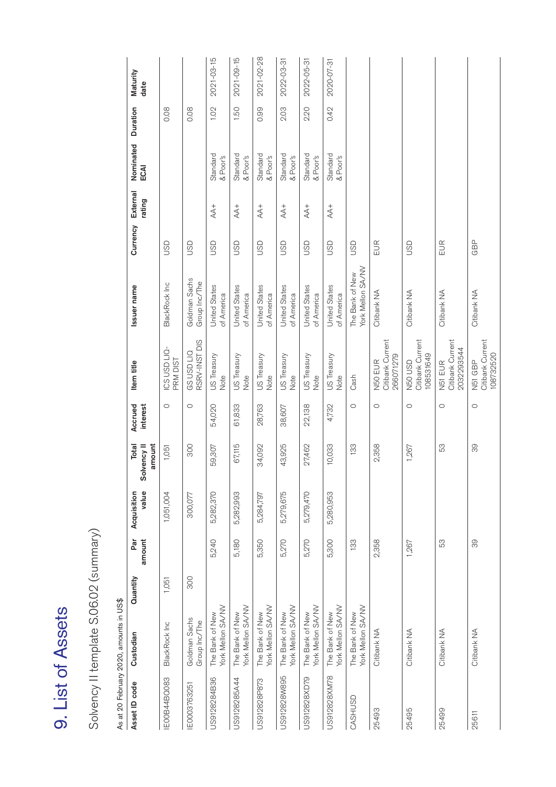| ٢ |
|---|
|   |
|   |
|   |

Solvency II template S.06.02 (summary) Solvency II template S.06.02 (summary)

As at 20 February 2020, amounts in US\$ As at 20 February 2020, amounts in US\$

| Asset ID code      | Custodian                            | Quantity | Par<br>amount | value<br>Acquisition | amount<br><b>Total</b><br>Solvency II | Accrued<br>interest | Item title                                | Issuer name                          | Currency   | External<br>rating | Nominated Duration<br>ECAI |      | Maturity<br>date |
|--------------------|--------------------------------------|----------|---------------|----------------------|---------------------------------------|---------------------|-------------------------------------------|--------------------------------------|------------|--------------------|----------------------------|------|------------------|
| <b>EOOB44BOO83</b> | BlackRock Inc                        | 1,051    |               | 1,051,004            | 1,051                                 | $\circ$             | ICS USD LIQ-<br>PRM DIST                  | BlackRock Inc                        | GSD        |                    |                            | 0.08 |                  |
| IE0003763251       | Goldman Sachs<br>Group Inc/The       | 300      |               | 300,077              | 300                                   | $\circ$             | RSRV-INST DIS<br><b>GSUSDLIQ</b>          | Goldman Sachs<br>Group Inc/The       | GSD        |                    |                            | 0.08 |                  |
| US9128284B36       | York Mellon SA/NV<br>The Bank of New |          | 5,240         | 5,282,370            | 59,307                                | 54,020              | US Treasury<br>Note                       | <b>United States</b><br>of America   | GSD        | $AA +$             | Standard<br>& Poor's       | 1.02 | 2021-03-15       |
| US9128285A44       | York Mellon SA/NV<br>The Bank of New |          | 5,180         | 5,282,993            | 67,115                                | 61,833              | US Treasury<br>Note                       | <b>United States</b><br>of America   | <b>USD</b> | $AA +$             | Standard<br>& Poor's       | 1.50 | 2021-09-15       |
| US912828P873       | York Mellon SA/NV<br>The Bank of New |          | 5,350         | 5,284,797            | 34,092                                | 28,763              | US Treasury<br>Note                       | <b>United States</b><br>of America   | GSD        | $AA +$             | Standard<br>& Poor's       | 0.99 | 2021-02-28       |
| US912828W895       | York Mellon SA/NV<br>The Bank of New |          | 5,270         | 5,279,675            | 43,925                                | 38,607              | US Treasury<br>Note                       | <b>United States</b><br>of America   | <b>USD</b> | $AA +$             | Standard<br>& Poor's       | 2.03 | 2022-03-31       |
| US912828XD79       | York Mellon SA/NV<br>The Bank of New |          | 5,270         | 5,279,470            | 27,462                                | 22,138              | US Treasury<br>Note                       | <b>United States</b><br>of America   | <b>USD</b> |                    | Standard<br>& Poor's       | 2.20 | 2022-05-31       |
| US912828XM78       | York Mellon SA/NV<br>The Bank of New |          | 5,300         | 5,280,953            | 10,033                                | 4,732               | US Treasury<br>Note                       | <b>United States</b><br>of America   | <b>USD</b> |                    | Standard<br>& Poor's       | 0.42 | 2020-07-31       |
| CASHUSD            | York Mellon SA/NV<br>The Bank of New |          | 133           |                      | 133                                   | $\circ$             | Cash                                      | York Mellon SA/NV<br>The Bank of New | GSD        |                    |                            |      |                  |
| 25493              | Citibank NA                          |          | 2,358         |                      | 2,358                                 | $\circ$             | Citibank Current<br>266071279<br>N50 EUR  | Citibank NA                          | EUR        |                    |                            |      |                  |
| 25495              | Citibank NA                          |          | 1,267         |                      | 1,267                                 | $\circ$             | Citibank Current<br>08531649<br>N50 USD   | Citibank NA                          | GSD        |                    |                            |      |                  |
| 25499              | Citibank NA                          |          | 53            |                      | 53                                    | $\circ$             | Citibank Current<br>2032293544<br>N51 EUR | Citibank NA                          | EUR        |                    |                            |      |                  |
| 25611              | Citibank NA                          |          | 88            |                      | 88                                    | $\circ$             | Citibank Current<br>108732520<br>N51 GBP  | Citibank NA                          | GBP        |                    |                            |      |                  |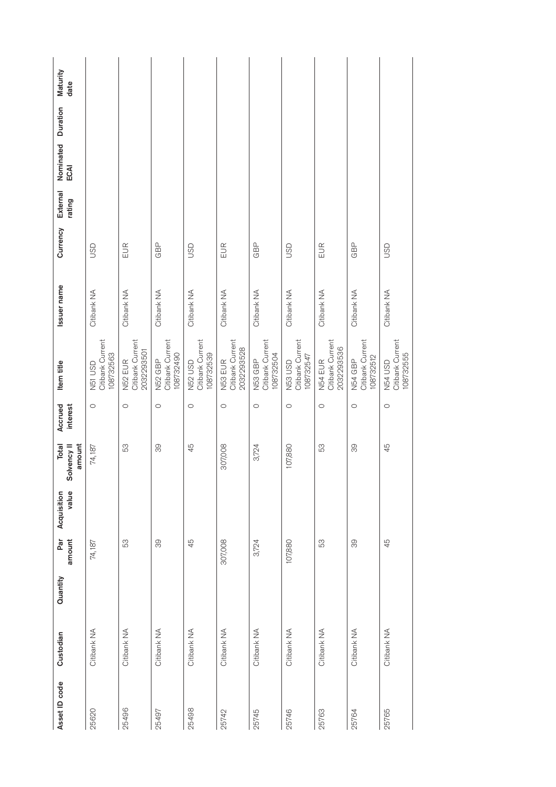| Quantity<br>Custodian | amount<br>Par | value<br>Acquisition | amount<br><b>Total</b><br>Solvency II | interest<br>Accrued | Item title                                                | Issuer name | Currency   | External<br>rating | Duration<br>Nominated<br>ECAI | Maturity<br>date |
|-----------------------|---------------|----------------------|---------------------------------------|---------------------|-----------------------------------------------------------|-------------|------------|--------------------|-------------------------------|------------------|
| Citibank NA           | 74,187        |                      | 74,187                                | $\circ$             | Citibank Current<br>108732563<br>N51 USD                  | Citibank NA | <b>USD</b> |                    |                               |                  |
| Citibank NA           | 53            |                      | 53                                    | $\circ$             | Citibank Current<br>2032293501<br>N52 EUR                 | Citibank NA | EUR        |                    |                               |                  |
| Citibank NA           | 39            |                      | 88                                    | $\circ$             | Citibank Current<br>108732490<br>N52 GBP                  | Citibank NA | GBP        |                    |                               |                  |
| Citibank NA           | 45            |                      | 45                                    | $\circ$             | Citibank Current<br>108732539<br>N52 USD                  | Citibank NA | <b>USD</b> |                    |                               |                  |
| Citibank NA           | 307,008       |                      | 307,008                               | $\circ$             | Citibank Current<br>2032293528<br>N53 EUR                 | Citibank NA | EUR        |                    |                               |                  |
| Citibank NA           | 3,724         |                      | 3,724                                 | $\circ$             | Citibank Current<br>108732504<br>N53 GBP                  | Citibank NA | GBP        |                    |                               |                  |
| Citibank NA           | 107,880       |                      | 107,880                               | $\circ$             | Citibank Current<br>108732547<br><b>USD</b><br>GSD<br>Ban | Citibank NA | <b>USD</b> |                    |                               |                  |
| Citibank NA           | 53            |                      | 53                                    | $\circ$             | Citibank Current<br>2032293536<br>N54 EUR                 | Citibank NA | EUR        |                    |                               |                  |
| Citibank NA           | 89            |                      | 88                                    | $\circ$             | Citibank Current<br>108732512<br>N54 GBP                  | Citibank NA | GBP        |                    |                               |                  |
| Citibank NA           | 45            |                      | 45                                    | $\circ$             | Citibank Current<br>108732555<br><b>N54 USD</b>           | Citibank NA | <b>USD</b> |                    |                               |                  |
|                       |               |                      |                                       |                     |                                                           |             |            |                    |                               |                  |